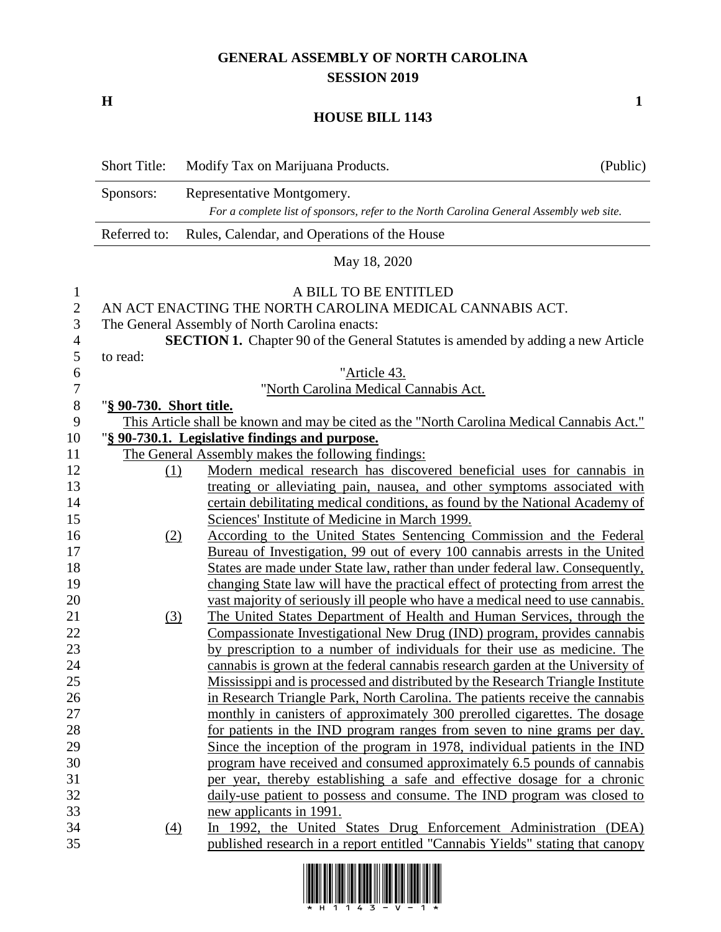## **GENERAL ASSEMBLY OF NORTH CAROLINA SESSION 2019**

**H 1**

## **HOUSE BILL 1143**

|                  | <b>Short Title:</b>     | Modify Tax on Marijuana Products.                                                          | (Public) |
|------------------|-------------------------|--------------------------------------------------------------------------------------------|----------|
|                  | Sponsors:               | Representative Montgomery.                                                                 |          |
|                  |                         | For a complete list of sponsors, refer to the North Carolina General Assembly web site.    |          |
|                  | Referred to:            | Rules, Calendar, and Operations of the House                                               |          |
|                  |                         | May 18, 2020                                                                               |          |
| $\mathbf{1}$     |                         | A BILL TO BE ENTITLED                                                                      |          |
| $\overline{2}$   |                         | AN ACT ENACTING THE NORTH CAROLINA MEDICAL CANNABIS ACT.                                   |          |
| 3                |                         | The General Assembly of North Carolina enacts:                                             |          |
| 4                |                         | <b>SECTION 1.</b> Chapter 90 of the General Statutes is amended by adding a new Article    |          |
| 5                | to read:                |                                                                                            |          |
| 6                |                         | "Article 43.                                                                               |          |
| $\boldsymbol{7}$ |                         | "North Carolina Medical Cannabis Act.                                                      |          |
| $8\,$            | "§ 90-730. Short title. |                                                                                            |          |
| 9                |                         | This Article shall be known and may be cited as the "North Carolina Medical Cannabis Act." |          |
| 10               |                         | "§ 90-730.1. Legislative findings and purpose.                                             |          |
| 11               |                         | The General Assembly makes the following findings:                                         |          |
| 12               | $\Omega$                | Modern medical research has discovered beneficial uses for cannabis in                     |          |
| 13               |                         | treating or alleviating pain, nausea, and other symptoms associated with                   |          |
| 14               |                         | certain debilitating medical conditions, as found by the National Academy of               |          |
| 15               |                         | Sciences' Institute of Medicine in March 1999.                                             |          |
| 16               | (2)                     | According to the United States Sentencing Commission and the Federal                       |          |
| 17               |                         | Bureau of Investigation, 99 out of every 100 cannabis arrests in the United                |          |
| 18               |                         | States are made under State law, rather than under federal law. Consequently,              |          |
|                  |                         |                                                                                            |          |
| 19               |                         | changing State law will have the practical effect of protecting from arrest the            |          |
| 20               |                         | vast majority of seriously ill people who have a medical need to use cannabis.             |          |
| 21               | (3)                     | The United States Department of Health and Human Services, through the                     |          |
| 22               |                         | Compassionate Investigational New Drug (IND) program, provides cannabis                    |          |
| 23<br>24         |                         | by prescription to a number of individuals for their use as medicine. The                  |          |
| 25               |                         | cannabis is grown at the federal cannabis research garden at the University of             |          |
|                  |                         | Mississippi and is processed and distributed by the Research Triangle Institute            |          |
| 26               |                         | in Research Triangle Park, North Carolina. The patients receive the cannabis               |          |
| 27               |                         | monthly in canisters of approximately 300 prerolled cigarettes. The dosage                 |          |
| 28               |                         | for patients in the IND program ranges from seven to nine grams per day.                   |          |
| 29               |                         | Since the inception of the program in 1978, individual patients in the IND                 |          |
| 30               |                         | program have received and consumed approximately 6.5 pounds of cannabis                    |          |
| 31               |                         | per year, thereby establishing a safe and effective dosage for a chronic                   |          |
| 32               |                         | daily-use patient to possess and consume. The IND program was closed to                    |          |
| 33               |                         | new applicants in 1991.                                                                    |          |
| 34               | (4)                     | In 1992, the United States Drug Enforcement Administration (DEA)                           |          |
| 35               |                         | published research in a report entitled "Cannabis Yields" stating that canopy              |          |

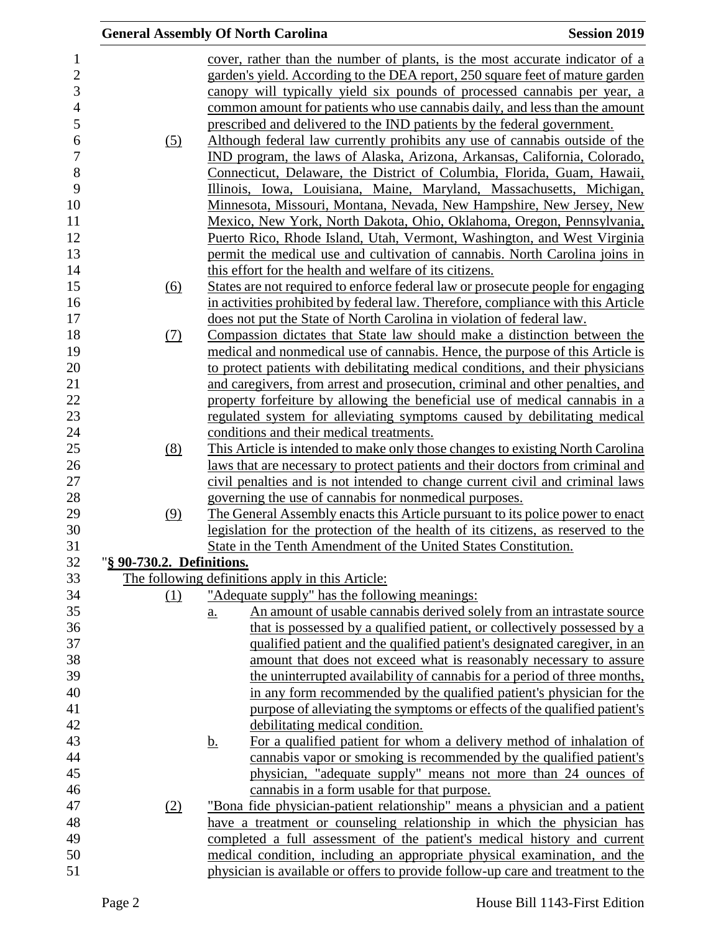|                           | <b>General Assembly Of North Carolina</b>                                                                                                                          | <b>Session 2019</b> |
|---------------------------|--------------------------------------------------------------------------------------------------------------------------------------------------------------------|---------------------|
|                           | cover, rather than the number of plants, is the most accurate indicator of a                                                                                       |                     |
|                           | garden's yield. According to the DEA report, 250 square feet of mature garden                                                                                      |                     |
|                           | canopy will typically yield six pounds of processed cannabis per year, a                                                                                           |                     |
|                           | common amount for patients who use cannabis daily, and less than the amount                                                                                        |                     |
|                           | prescribed and delivered to the IND patients by the federal government.                                                                                            |                     |
| (5)                       | Although federal law currently prohibits any use of cannabis outside of the                                                                                        |                     |
|                           | IND program, the laws of Alaska, Arizona, Arkansas, California, Colorado,                                                                                          |                     |
|                           | Connecticut, Delaware, the District of Columbia, Florida, Guam, Hawaii,                                                                                            |                     |
|                           | Illinois, Iowa, Louisiana, Maine, Maryland, Massachusetts, Michigan,                                                                                               |                     |
|                           | Minnesota, Missouri, Montana, Nevada, New Hampshire, New Jersey, New                                                                                               |                     |
|                           | Mexico, New York, North Dakota, Ohio, Oklahoma, Oregon, Pennsylvania,                                                                                              |                     |
|                           | Puerto Rico, Rhode Island, Utah, Vermont, Washington, and West Virginia                                                                                            |                     |
|                           | permit the medical use and cultivation of cannabis. North Carolina joins in                                                                                        |                     |
|                           | this effort for the health and welfare of its citizens.                                                                                                            |                     |
| (6)                       | States are not required to enforce federal law or prosecute people for engaging                                                                                    |                     |
|                           | in activities prohibited by federal law. Therefore, compliance with this Article                                                                                   |                     |
|                           | does not put the State of North Carolina in violation of federal law.                                                                                              |                     |
| (7)                       | Compassion dictates that State law should make a distinction between the                                                                                           |                     |
|                           | medical and nonmedical use of cannabis. Hence, the purpose of this Article is                                                                                      |                     |
|                           | to protect patients with debilitating medical conditions, and their physicians                                                                                     |                     |
|                           | and caregivers, from arrest and prosecution, criminal and other penalties, and                                                                                     |                     |
|                           | property forfeiture by allowing the beneficial use of medical cannabis in a                                                                                        |                     |
|                           | regulated system for alleviating symptoms caused by debilitating medical                                                                                           |                     |
|                           | conditions and their medical treatments.                                                                                                                           |                     |
| (8)                       | This Article is intended to make only those changes to existing North Carolina                                                                                     |                     |
|                           | laws that are necessary to protect patients and their doctors from criminal and                                                                                    |                     |
|                           | civil penalties and is not intended to change current civil and criminal laws                                                                                      |                     |
|                           | governing the use of cannabis for nonmedical purposes.                                                                                                             |                     |
| (9)                       | The General Assembly enacts this Article pursuant to its police power to enact<br>legislation for the protection of the health of its citizens, as reserved to the |                     |
|                           | State in the Tenth Amendment of the United States Constitution.                                                                                                    |                     |
| "§ 90-730.2. Definitions. |                                                                                                                                                                    |                     |
|                           | The following definitions apply in this Article:                                                                                                                   |                     |
| (1)                       | "Adequate supply" has the following meanings:                                                                                                                      |                     |
|                           | An amount of usable cannabis derived solely from an intrastate source<br>a.                                                                                        |                     |
|                           | that is possessed by a qualified patient, or collectively possessed by a                                                                                           |                     |
|                           | qualified patient and the qualified patient's designated caregiver, in an                                                                                          |                     |
|                           | amount that does not exceed what is reasonably necessary to assure                                                                                                 |                     |
|                           | the uninterrupted availability of cannabis for a period of three months,                                                                                           |                     |
|                           | in any form recommended by the qualified patient's physician for the                                                                                               |                     |
|                           | purpose of alleviating the symptoms or effects of the qualified patient's                                                                                          |                     |
|                           | debilitating medical condition.                                                                                                                                    |                     |
|                           | For a qualified patient for whom a delivery method of inhalation of<br><u>b.</u>                                                                                   |                     |
|                           | cannabis vapor or smoking is recommended by the qualified patient's                                                                                                |                     |
|                           | physician, "adequate supply" means not more than 24 ounces of                                                                                                      |                     |
|                           | cannabis in a form usable for that purpose.                                                                                                                        |                     |
| (2)                       | "Bona fide physician-patient relationship" means a physician and a patient                                                                                         |                     |
|                           | have a treatment or counseling relationship in which the physician has                                                                                             |                     |
|                           | completed a full assessment of the patient's medical history and current                                                                                           |                     |
|                           | medical condition, including an appropriate physical examination, and the                                                                                          |                     |
|                           | physician is available or offers to provide follow-up care and treatment to the                                                                                    |                     |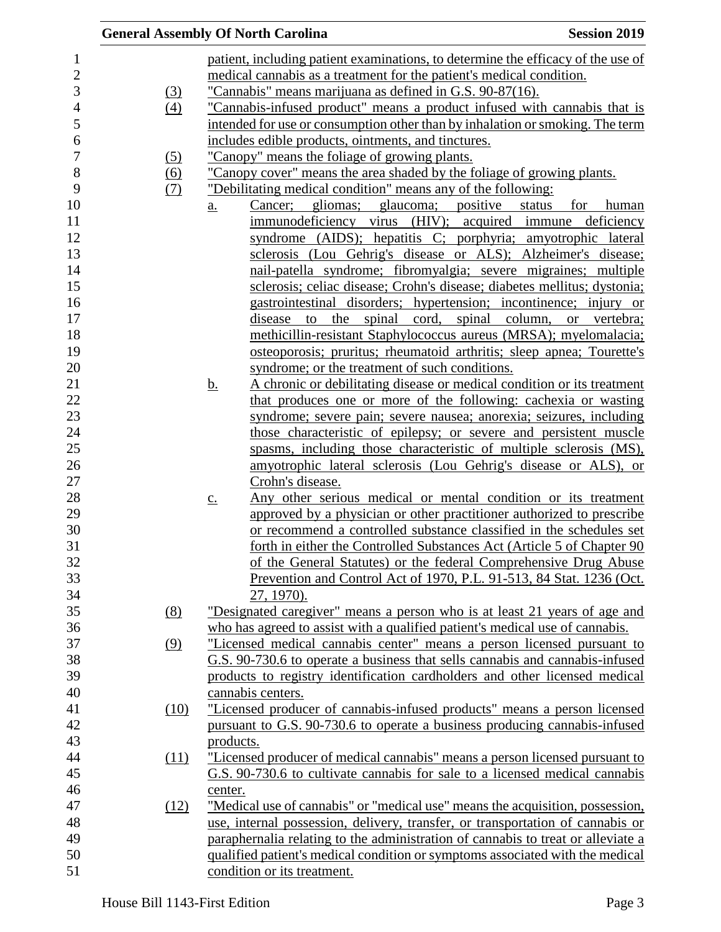|                   | <b>General Assembly Of North Carolina</b>                                            | <b>Session 2019</b> |
|-------------------|--------------------------------------------------------------------------------------|---------------------|
|                   | patient, including patient examinations, to determine the efficacy of the use of     |                     |
|                   | medical cannabis as a treatment for the patient's medical condition.                 |                     |
| (3)               | "Cannabis" means marijuana as defined in G.S. 90-87(16).                             |                     |
| $\left(4\right)$  | "Cannabis-infused product" means a product infused with cannabis that is             |                     |
|                   | intended for use or consumption other than by inhalation or smoking. The term        |                     |
|                   | includes edible products, ointments, and tinctures.                                  |                     |
| $\left( 5\right)$ | "Canopy" means the foliage of growing plants.                                        |                     |
| (6)               | "Canopy cover" means the area shaded by the foliage of growing plants.               |                     |
| (7)               | "Debilitating medical condition" means any of the following:                         |                     |
|                   | Cancer; gliomas; glaucoma; positive status<br>$\underline{a}$ .                      | for<br>human        |
|                   | immunodeficiency virus (HIV); acquired immune deficiency                             |                     |
|                   | syndrome (AIDS); hepatitis C; porphyria; amyotrophic lateral                         |                     |
|                   | sclerosis (Lou Gehrig's disease or ALS); Alzheimer's disease;                        |                     |
|                   | nail-patella syndrome; fibromyalgia; severe migraines; multiple                      |                     |
|                   | sclerosis; celiac disease; Crohn's disease; diabetes mellitus; dystonia;             |                     |
|                   | gastrointestinal disorders; hypertension; incontinence; injury or                    |                     |
|                   | the spinal cord, spinal column, or vertebra;<br>disease<br>to                        |                     |
|                   | methicillin-resistant Staphylococcus aureus (MRSA); myelomalacia;                    |                     |
|                   | osteoporosis; pruritus; rheumatoid arthritis; sleep apnea; Tourette's                |                     |
|                   | syndrome; or the treatment of such conditions.                                       |                     |
|                   | A chronic or debilitating disease or medical condition or its treatment<br><u>b.</u> |                     |
|                   | that produces one or more of the following: cachexia or wasting                      |                     |
|                   | syndrome; severe pain; severe nausea; anorexia; seizures, including                  |                     |
|                   | those characteristic of epilepsy; or severe and persistent muscle                    |                     |
|                   | spasms, including those characteristic of multiple sclerosis (MS),                   |                     |
|                   | amyotrophic lateral sclerosis (Lou Gehrig's disease or ALS), or                      |                     |
|                   | Crohn's disease.                                                                     |                     |
|                   | Any other serious medical or mental condition or its treatment<br>$\underline{c}$ .  |                     |
|                   | approved by a physician or other practitioner authorized to prescribe                |                     |
|                   | or recommend a controlled substance classified in the schedules set                  |                     |
|                   | forth in either the Controlled Substances Act (Article 5 of Chapter 90               |                     |
|                   | of the General Statutes) or the federal Comprehensive Drug Abuse                     |                     |
|                   | Prevention and Control Act of 1970, P.L. 91-513, 84 Stat. 1236 (Oct.                 |                     |
|                   | 27, 1970).                                                                           |                     |
| (8)               | <u>"Designated caregiver" means a person who is at least 21 years of age and</u>     |                     |
|                   | who has agreed to assist with a qualified patient's medical use of cannabis.         |                     |
| (9)               | "Licensed medical cannabis center" means a person licensed pursuant to               |                     |
|                   | G.S. 90-730.6 to operate a business that sells cannabis and cannabis-infused         |                     |
|                   | products to registry identification cardholders and other licensed medical           |                     |
|                   | cannabis centers.                                                                    |                     |
| (10)              | "Licensed producer of cannabis-infused products" means a person licensed             |                     |
|                   | pursuant to G.S. 90-730.6 to operate a business producing cannabis-infused           |                     |
|                   | products.                                                                            |                     |
| (11)              | "Licensed producer of medical cannabis" means a person licensed pursuant to          |                     |
|                   | G.S. 90-730.6 to cultivate cannabis for sale to a licensed medical cannabis          |                     |
|                   | center.                                                                              |                     |
| (12)              | "Medical use of cannabis" or "medical use" means the acquisition, possession,        |                     |
|                   | use, internal possession, delivery, transfer, or transportation of cannabis or       |                     |
|                   | paraphernalia relating to the administration of cannabis to treat or alleviate a     |                     |
|                   | qualified patient's medical condition or symptoms associated with the medical        |                     |
|                   | condition or its treatment.                                                          |                     |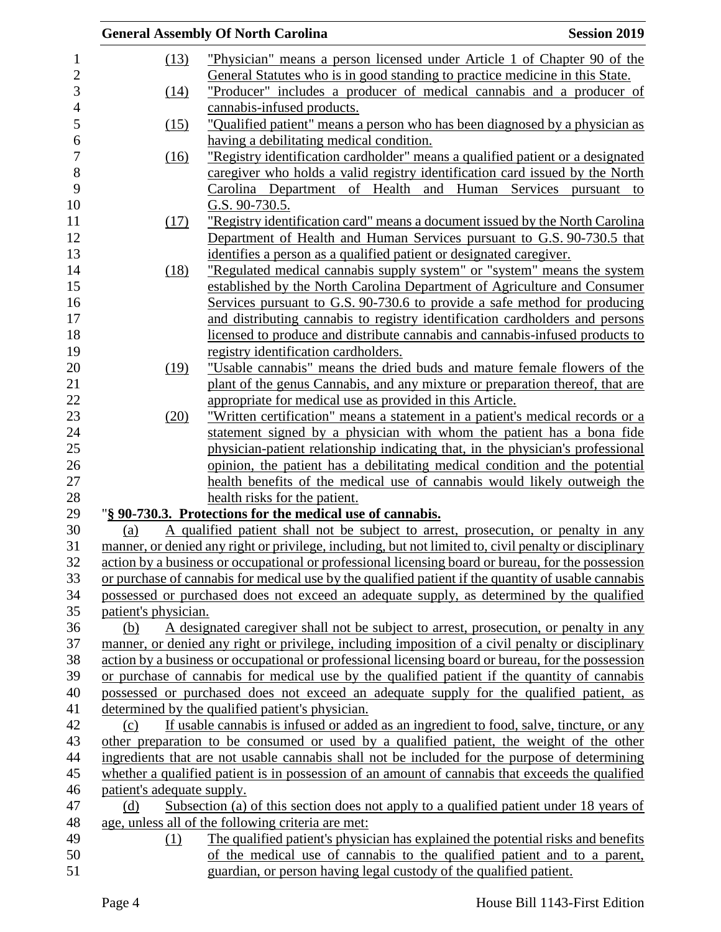|                |                            | <b>General Assembly Of North Carolina</b>                                                              | <b>Session 2019</b> |
|----------------|----------------------------|--------------------------------------------------------------------------------------------------------|---------------------|
| $\mathbf{1}$   | (13)                       | "Physician" means a person licensed under Article 1 of Chapter 90 of the                               |                     |
| $\overline{c}$ |                            | General Statutes who is in good standing to practice medicine in this State.                           |                     |
| 3              | (14)                       | "Producer" includes a producer of medical cannabis and a producer of                                   |                     |
| $\overline{4}$ |                            | cannabis-infused products.                                                                             |                     |
| 5              | (15)                       | <u>"Qualified patient" means a person who has been diagnosed by a physician as</u>                     |                     |
| 6              |                            | having a debilitating medical condition.                                                               |                     |
| $\overline{7}$ | (16)                       | "Registry identification cardholder" means a qualified patient or a designated                         |                     |
| 8              |                            | caregiver who holds a valid registry identification card issued by the North                           |                     |
| 9              |                            | Carolina Department of Health and Human Services pursuant to                                           |                     |
| 10             |                            | G.S. 90-730.5.                                                                                         |                     |
| 11             | (17)                       | "Registry identification card" means a document issued by the North Carolina                           |                     |
| 12             |                            | Department of Health and Human Services pursuant to G.S. 90-730.5 that                                 |                     |
| 13             |                            | identifies a person as a qualified patient or designated caregiver.                                    |                     |
| 14             | (18)                       | "Regulated medical cannabis supply system" or "system" means the system                                |                     |
| 15             |                            | established by the North Carolina Department of Agriculture and Consumer                               |                     |
| 16             |                            | Services pursuant to G.S. 90-730.6 to provide a safe method for producing                              |                     |
| 17             |                            | and distributing cannabis to registry identification cardholders and persons                           |                     |
| 18             |                            | licensed to produce and distribute cannabis and cannabis-infused products to                           |                     |
| 19             |                            | registry identification cardholders.                                                                   |                     |
| 20             | (19)                       | "Usable cannabis" means the dried buds and mature female flowers of the                                |                     |
| 21             |                            | plant of the genus Cannabis, and any mixture or preparation thereof, that are                          |                     |
| 22             |                            | appropriate for medical use as provided in this Article.                                               |                     |
| 23             | (20)                       | "Written certification" means a statement in a patient's medical records or a                          |                     |
| 24             |                            | statement signed by a physician with whom the patient has a bona fide                                  |                     |
| 25             |                            | physician-patient relationship indicating that, in the physician's professional                        |                     |
| 26             |                            | opinion, the patient has a debilitating medical condition and the potential                            |                     |
| 27             |                            | health benefits of the medical use of cannabis would likely outweigh the                               |                     |
| 28             |                            | health risks for the patient.                                                                          |                     |
| 29             |                            | "§ 90-730.3. Protections for the medical use of cannabis.                                              |                     |
| 30             | (a)                        | A qualified patient shall not be subject to arrest, prosecution, or penalty in any                     |                     |
| 31             |                            | manner, or denied any right or privilege, including, but not limited to, civil penalty or disciplinary |                     |
| 32             |                            | action by a business or occupational or professional licensing board or bureau, for the possession     |                     |
| 33             |                            | or purchase of cannabis for medical use by the qualified patient if the quantity of usable cannabis    |                     |
| 34             |                            | possessed or purchased does not exceed an adequate supply, as determined by the qualified              |                     |
| 35             | patient's physician.       |                                                                                                        |                     |
| 36             | (b)                        | A designated caregiver shall not be subject to arrest, prosecution, or penalty in any                  |                     |
| 37             |                            | manner, or denied any right or privilege, including imposition of a civil penalty or disciplinary      |                     |
| 38             |                            | action by a business or occupational or professional licensing board or bureau, for the possession     |                     |
| 39             |                            | or purchase of cannabis for medical use by the qualified patient if the quantity of cannabis           |                     |
| 40             |                            | possessed or purchased does not exceed an adequate supply for the qualified patient, as                |                     |
| 41             |                            | determined by the qualified patient's physician.                                                       |                     |
| 42             | (c)                        | If usable cannabis is infused or added as an ingredient to food, salve, tincture, or any               |                     |
| 43             |                            | other preparation to be consumed or used by a qualified patient, the weight of the other               |                     |
| 44             |                            | ingredients that are not usable cannabis shall not be included for the purpose of determining          |                     |
| 45             |                            | whether a qualified patient is in possession of an amount of cannabis that exceeds the qualified       |                     |
| 46             | patient's adequate supply. |                                                                                                        |                     |
| 47             | (d)                        | Subsection (a) of this section does not apply to a qualified patient under 18 years of                 |                     |
| 48             |                            | age, unless all of the following criteria are met:                                                     |                     |
| 49             | (1)                        | The qualified patient's physician has explained the potential risks and benefits                       |                     |
| 50             |                            | of the medical use of cannabis to the qualified patient and to a parent,                               |                     |
| 51             |                            | guardian, or person having legal custody of the qualified patient.                                     |                     |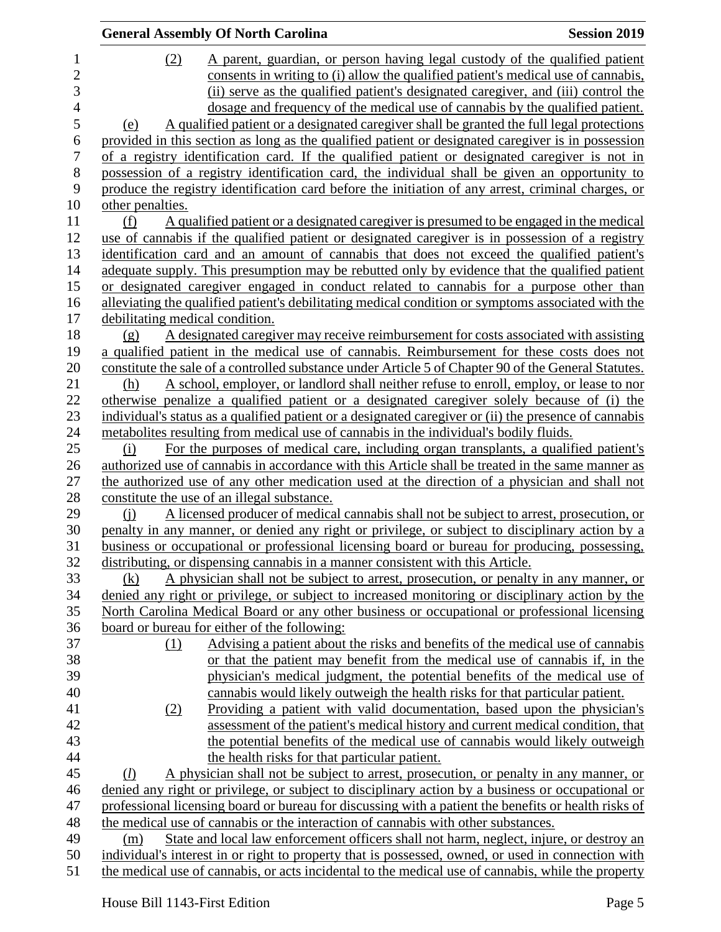|                | <b>General Assembly Of North Carolina</b>                                                             | <b>Session 2019</b> |
|----------------|-------------------------------------------------------------------------------------------------------|---------------------|
| $\mathbf 1$    | (2)<br>A parent, guardian, or person having legal custody of the qualified patient                    |                     |
| $\overline{c}$ | consents in writing to (i) allow the qualified patient's medical use of cannabis,                     |                     |
| 3              | (ii) serve as the qualified patient's designated caregiver, and (iii) control the                     |                     |
| $\overline{4}$ | dosage and frequency of the medical use of cannabis by the qualified patient.                         |                     |
| 5              | A qualified patient or a designated caregiver shall be granted the full legal protections<br>(e)      |                     |
| 6              | provided in this section as long as the qualified patient or designated caregiver is in possession    |                     |
| $\overline{7}$ | of a registry identification card. If the qualified patient or designated caregiver is not in         |                     |
| 8              | possession of a registry identification card, the individual shall be given an opportunity to         |                     |
| 9              | produce the registry identification card before the initiation of any arrest, criminal charges, or    |                     |
| 10             | other penalties.                                                                                      |                     |
| 11             | A qualified patient or a designated caregiver is presumed to be engaged in the medical<br>(f)         |                     |
| 12             | use of cannabis if the qualified patient or designated caregiver is in possession of a registry       |                     |
| 13             | identification card and an amount of cannabis that does not exceed the qualified patient's            |                     |
| 14             | adequate supply. This presumption may be rebutted only by evidence that the qualified patient         |                     |
| 15             | or designated caregiver engaged in conduct related to cannabis for a purpose other than               |                     |
| 16             | alleviating the qualified patient's debilitating medical condition or symptoms associated with the    |                     |
| 17             | debilitating medical condition.                                                                       |                     |
| 18             | A designated caregiver may receive reimbursement for costs associated with assisting<br>(g)           |                     |
| 19             | a qualified patient in the medical use of cannabis. Reimbursement for these costs does not            |                     |
| 20             | constitute the sale of a controlled substance under Article 5 of Chapter 90 of the General Statutes.  |                     |
| 21             | A school, employer, or landlord shall neither refuse to enroll, employ, or lease to nor<br>(h)        |                     |
| 22             | otherwise penalize a qualified patient or a designated caregiver solely because of (i) the            |                     |
| 23             | individual's status as a qualified patient or a designated caregiver or (ii) the presence of cannabis |                     |
| 24             | metabolities resulting from medical use of cannabis in the individual's bodily fluids.                |                     |
| 25             | (i)<br>For the purposes of medical care, including organ transplants, a qualified patient's           |                     |
| 26             | authorized use of cannabis in accordance with this Article shall be treated in the same manner as     |                     |
| 27             | the authorized use of any other medication used at the direction of a physician and shall not         |                     |
| 28             | constitute the use of an illegal substance.                                                           |                     |
| 29             | A licensed producer of medical cannabis shall not be subject to arrest, prosecution, or<br>$\Omega$   |                     |
| 30             | penalty in any manner, or denied any right or privilege, or subject to disciplinary action by a       |                     |
| 31             | business or occupational or professional licensing board or bureau for producing, possessing,         |                     |
| 32             | distributing, or dispensing cannabis in a manner consistent with this Article.                        |                     |
| 33             | A physician shall not be subject to arrest, prosecution, or penalty in any manner, or<br>(k)          |                     |
| 34             | denied any right or privilege, or subject to increased monitoring or disciplinary action by the       |                     |
| 35             | North Carolina Medical Board or any other business or occupational or professional licensing          |                     |
| 36             | board or bureau for either of the following:                                                          |                     |
| 37             | Advising a patient about the risks and benefits of the medical use of cannabis<br>(1)                 |                     |
| 38             | or that the patient may benefit from the medical use of cannabis if, in the                           |                     |
| 39             | physician's medical judgment, the potential benefits of the medical use of                            |                     |
| 40             | cannabis would likely outweigh the health risks for that particular patient.                          |                     |
| 41             | Providing a patient with valid documentation, based upon the physician's<br>(2)                       |                     |
| 42             | assessment of the patient's medical history and current medical condition, that                       |                     |
| 43             | the potential benefits of the medical use of cannabis would likely outweigh                           |                     |
| 44             | the health risks for that particular patient.                                                         |                     |
| 45             | A physician shall not be subject to arrest, prosecution, or penalty in any manner, or<br>(l)          |                     |
| 46             | denied any right or privilege, or subject to disciplinary action by a business or occupational or     |                     |
| 47             | professional licensing board or bureau for discussing with a patient the benefits or health risks of  |                     |
| 48             | the medical use of cannabis or the interaction of cannabis with other substances.                     |                     |
| 49             | State and local law enforcement officers shall not harm, neglect, injure, or destroy an<br>(m)        |                     |
| 50             | individual's interest in or right to property that is possessed, owned, or used in connection with    |                     |
| 51             | the medical use of cannabis, or acts incidental to the medical use of cannabis, while the property    |                     |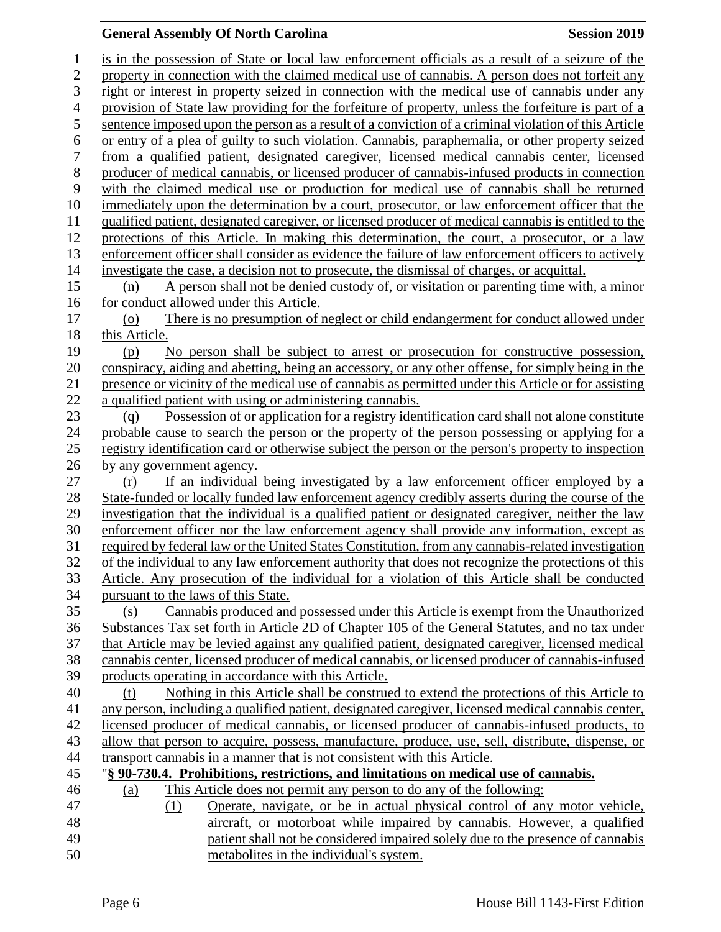## **General Assembly Of North Carolina Session 2019**

| $\mathbf{1}$     | is in the possession of State or local law enforcement officials as a result of a seizure of the                                                                                                    |
|------------------|-----------------------------------------------------------------------------------------------------------------------------------------------------------------------------------------------------|
| $\overline{c}$   | property in connection with the claimed medical use of cannabis. A person does not forfeit any                                                                                                      |
| 3                | right or interest in property seized in connection with the medical use of cannabis under any                                                                                                       |
| $\overline{4}$   | provision of State law providing for the forfeiture of property, unless the forfeiture is part of a                                                                                                 |
| 5                | sentence imposed upon the person as a result of a conviction of a criminal violation of this Article                                                                                                |
| 6                | or entry of a plea of guilty to such violation. Cannabis, paraphernalia, or other property seized                                                                                                   |
| $\boldsymbol{7}$ | from a qualified patient, designated caregiver, licensed medical cannabis center, licensed                                                                                                          |
| 8                | producer of medical cannabis, or licensed producer of cannabis-infused products in connection                                                                                                       |
| 9                | with the claimed medical use or production for medical use of cannabis shall be returned                                                                                                            |
| 10               | immediately upon the determination by a court, prosecutor, or law enforcement officer that the                                                                                                      |
| 11               | qualified patient, designated caregiver, or licensed producer of medical cannabis is entitled to the                                                                                                |
| 12               | protections of this Article. In making this determination, the court, a prosecutor, or a law                                                                                                        |
| 13               | enforcement officer shall consider as evidence the failure of law enforcement officers to actively                                                                                                  |
| 14               | investigate the case, a decision not to prosecute, the dismissal of charges, or acquittal.                                                                                                          |
| 15               | A person shall not be denied custody of, or visitation or parenting time with, a minor<br>(n)                                                                                                       |
| 16               | for conduct allowed under this Article.                                                                                                                                                             |
| 17               | There is no presumption of neglect or child endangerment for conduct allowed under<br>(0)                                                                                                           |
| 18               | this Article.                                                                                                                                                                                       |
| 19               | No person shall be subject to arrest or prosecution for constructive possession,<br>(p)                                                                                                             |
| 20               | conspiracy, aiding and abetting, being an accessory, or any other offense, for simply being in the                                                                                                  |
| 21               | presence or vicinity of the medical use of cannabis as permitted under this Article or for assisting                                                                                                |
| 22               | a qualified patient with using or administering cannabis.                                                                                                                                           |
| 23               | Possession of or application for a registry identification card shall not alone constitute<br>(q)                                                                                                   |
| 24               | probable cause to search the person or the property of the person possessing or applying for a                                                                                                      |
| 25               | registry identification card or otherwise subject the person or the person's property to inspection                                                                                                 |
| 26               | by any government agency.                                                                                                                                                                           |
| 27               | If an individual being investigated by a law enforcement officer employed by a<br>(r)                                                                                                               |
| 28               | State-funded or locally funded law enforcement agency credibly asserts during the course of the                                                                                                     |
| 29               | investigation that the individual is a qualified patient or designated caregiver, neither the law                                                                                                   |
| 30               | enforcement officer nor the law enforcement agency shall provide any information, except as                                                                                                         |
| 31<br>32         | required by federal law or the United States Constitution, from any cannabis-related investigation                                                                                                  |
| 33               | of the individual to any law enforcement authority that does not recognize the protections of this<br>Article. Any prosecution of the individual for a violation of this Article shall be conducted |
| 34               | pursuant to the laws of this State.                                                                                                                                                                 |
| 35               | Cannabis produced and possessed under this Article is exempt from the Unauthorized<br>(s)                                                                                                           |
| 36               | Substances Tax set forth in Article 2D of Chapter 105 of the General Statutes, and no tax under                                                                                                     |
| 37               | that Article may be levied against any qualified patient, designated caregiver, licensed medical                                                                                                    |
| 38               | cannabis center, licensed producer of medical cannabis, or licensed producer of cannabis-infused                                                                                                    |
| 39               | products operating in accordance with this Article.                                                                                                                                                 |
| 40               | Nothing in this Article shall be construed to extend the protections of this Article to<br>(t)                                                                                                      |
| 41               | any person, including a qualified patient, designated caregiver, licensed medical cannabis center,                                                                                                  |
| 42               | licensed producer of medical cannabis, or licensed producer of cannabis-infused products, to                                                                                                        |
| 43               | allow that person to acquire, possess, manufacture, produce, use, sell, distribute, dispense, or                                                                                                    |
| 44               | transport cannabis in a manner that is not consistent with this Article.                                                                                                                            |
| 45               | "§ 90-730.4. Prohibitions, restrictions, and limitations on medical use of cannabis.                                                                                                                |
| 46               | This Article does not permit any person to do any of the following:<br>(a)                                                                                                                          |
| 47               | Operate, navigate, or be in actual physical control of any motor vehicle,<br>(1)                                                                                                                    |
| 48               | aircraft, or motorboat while impaired by cannabis. However, a qualified                                                                                                                             |
| 49               | patient shall not be considered impaired solely due to the presence of cannabis                                                                                                                     |
| 50               | metabolites in the individual's system.                                                                                                                                                             |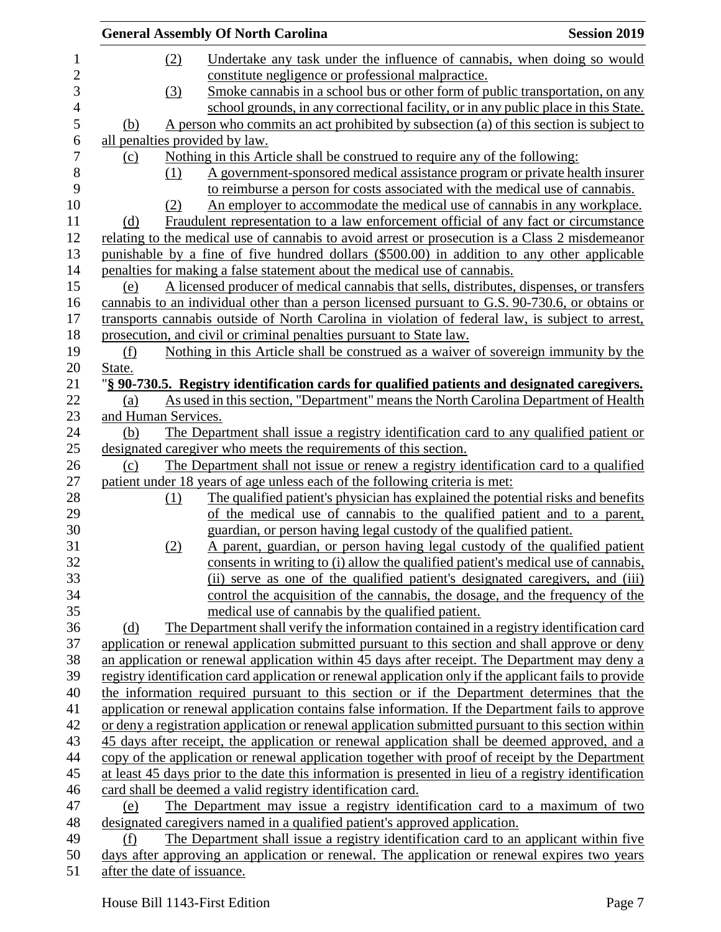| <b>General Assembly Of North Carolina</b>                                                                                                                                             | <b>Session 2019</b> |
|---------------------------------------------------------------------------------------------------------------------------------------------------------------------------------------|---------------------|
| Undertake any task under the influence of cannabis, when doing so would<br>(2)                                                                                                        |                     |
| constitute negligence or professional malpractice.                                                                                                                                    |                     |
| Smoke cannabis in a school bus or other form of public transportation, on any<br>(3)                                                                                                  |                     |
| school grounds, in any correctional facility, or in any public place in this State.                                                                                                   |                     |
| A person who commits an act prohibited by subsection (a) of this section is subject to<br>(b)                                                                                         |                     |
| all penalties provided by law.                                                                                                                                                        |                     |
| Nothing in this Article shall be construed to require any of the following:<br>(c)                                                                                                    |                     |
| A government-sponsored medical assistance program or private health insurer<br>(1)                                                                                                    |                     |
| to reimburse a person for costs associated with the medical use of cannabis.                                                                                                          |                     |
| An employer to accommodate the medical use of cannabis in any workplace.<br>(2)                                                                                                       |                     |
| Fraudulent representation to a law enforcement official of any fact or circumstance<br>(d)                                                                                            |                     |
| relating to the medical use of cannabis to avoid arrest or prosecution is a Class 2 misdemeanor                                                                                       |                     |
| punishable by a fine of five hundred dollars (\$500.00) in addition to any other applicable                                                                                           |                     |
| penalties for making a false statement about the medical use of cannabis.                                                                                                             |                     |
| A licensed producer of medical cannabis that sells, distributes, dispenses, or transfers<br>(e)                                                                                       |                     |
| cannabis to an individual other than a person licensed pursuant to G.S. 90-730.6, or obtains or                                                                                       |                     |
| transports cannabis outside of North Carolina in violation of federal law, is subject to arrest,                                                                                      |                     |
| prosecution, and civil or criminal penalties pursuant to State law.                                                                                                                   |                     |
| Nothing in this Article shall be construed as a waiver of sovereign immunity by the<br>(f)                                                                                            |                     |
| State.                                                                                                                                                                                |                     |
| "§ 90-730.5. Registry identification cards for qualified patients and designated caregivers.                                                                                          |                     |
| As used in this section, "Department" means the North Carolina Department of Health<br>(a)                                                                                            |                     |
| and Human Services.                                                                                                                                                                   |                     |
| The Department shall issue a registry identification card to any qualified patient or<br>(b)                                                                                          |                     |
| designated caregiver who meets the requirements of this section.                                                                                                                      |                     |
| The Department shall not issue or renew a registry identification card to a qualified<br>(c)                                                                                          |                     |
| patient under 18 years of age unless each of the following criteria is met:                                                                                                           |                     |
| The qualified patient's physician has explained the potential risks and benefits<br>(1)                                                                                               |                     |
| of the medical use of cannabis to the qualified patient and to a parent,                                                                                                              |                     |
| guardian, or person having legal custody of the qualified patient.                                                                                                                    |                     |
| A parent, guardian, or person having legal custody of the qualified patient<br>(2)                                                                                                    |                     |
| consents in writing to (i) allow the qualified patient's medical use of cannabis,                                                                                                     |                     |
| (ii) serve as one of the qualified patient's designated caregivers, and (iii)                                                                                                         |                     |
| control the acquisition of the cannabis, the dosage, and the frequency of the                                                                                                         |                     |
| medical use of cannabis by the qualified patient.                                                                                                                                     |                     |
| The Department shall verify the information contained in a registry identification card<br>(d)                                                                                        |                     |
| application or renewal application submitted pursuant to this section and shall approve or deny                                                                                       |                     |
| an application or renewal application within 45 days after receipt. The Department may deny a                                                                                         |                     |
| registry identification card application or renewal application only if the applicant fails to provide                                                                                |                     |
| the information required pursuant to this section or if the Department determines that the                                                                                            |                     |
| application or renewal application contains false information. If the Department fails to approve                                                                                     |                     |
| or deny a registration application or renewal application submitted pursuant to this section within                                                                                   |                     |
| 45 days after receipt, the application or renewal application shall be deemed approved, and a                                                                                         |                     |
| copy of the application or renewal application together with proof of receipt by the Department                                                                                       |                     |
| at least 45 days prior to the date this information is presented in lieu of a registry identification                                                                                 |                     |
| card shall be deemed a valid registry identification card.                                                                                                                            |                     |
|                                                                                                                                                                                       |                     |
|                                                                                                                                                                                       |                     |
| The Department may issue a registry identification card to a maximum of two<br>(e)                                                                                                    |                     |
| designated caregivers named in a qualified patient's approved application.<br>(f)                                                                                                     |                     |
| The Department shall issue a registry identification card to an applicant within five<br>days after approving an application or renewal. The application or renewal expires two years |                     |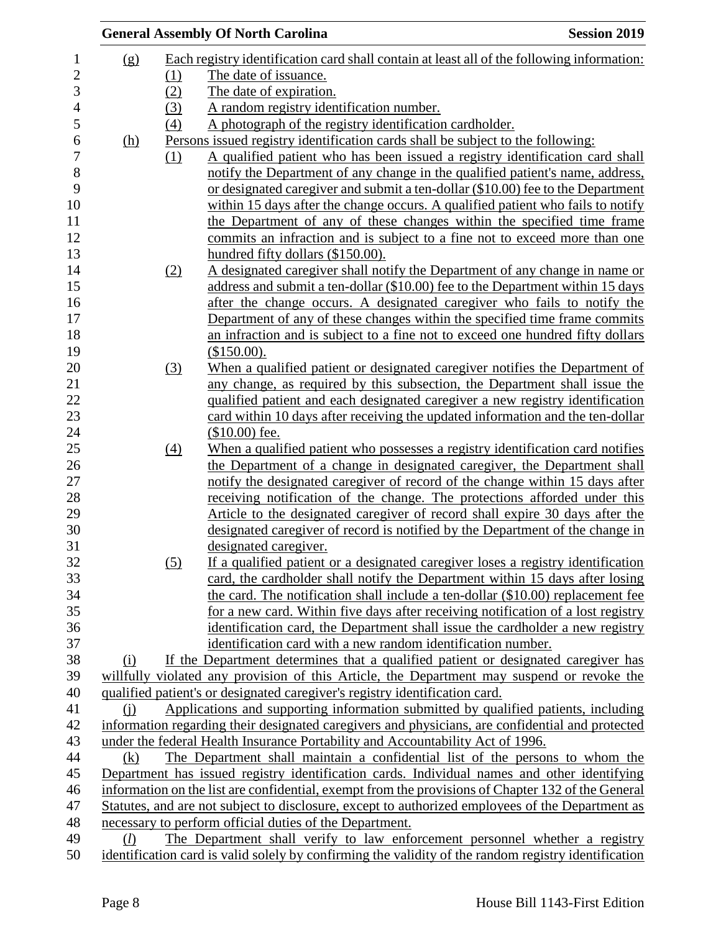|                |            |                   | <b>General Assembly Of North Carolina</b>                                                            | <b>Session 2019</b> |
|----------------|------------|-------------------|------------------------------------------------------------------------------------------------------|---------------------|
| $\mathbf{1}$   | (g)        |                   | Each registry identification card shall contain at least all of the following information:           |                     |
| $\overline{2}$ |            | (1)               | The date of issuance.                                                                                |                     |
| 3              |            | (2)               | The date of expiration.                                                                              |                     |
| $\overline{4}$ |            | (3)               | A random registry identification number.                                                             |                     |
| 5              |            | $\left(4\right)$  | A photograph of the registry identification cardholder.                                              |                     |
| 6              | <u>(h)</u> |                   | Persons issued registry identification cards shall be subject to the following:                      |                     |
|                |            | (1)               | A qualified patient who has been issued a registry identification card shall                         |                     |
|                |            |                   | notify the Department of any change in the qualified patient's name, address,                        |                     |
|                |            |                   | or designated caregiver and submit a ten-dollar (\$10.00) fee to the Department                      |                     |
|                |            |                   | within 15 days after the change occurs. A qualified patient who fails to notify                      |                     |
|                |            |                   | the Department of any of these changes within the specified time frame                               |                     |
|                |            |                   | commits an infraction and is subject to a fine not to exceed more than one                           |                     |
|                |            |                   | hundred fifty dollars (\$150.00).                                                                    |                     |
|                |            | (2)               | A designated caregiver shall notify the Department of any change in name or                          |                     |
|                |            |                   | address and submit a ten-dollar (\$10.00) fee to the Department within 15 days                       |                     |
|                |            |                   | after the change occurs. A designated caregiver who fails to notify the                              |                     |
|                |            |                   | Department of any of these changes within the specified time frame commits                           |                     |
|                |            |                   | an infraction and is subject to a fine not to exceed one hundred fifty dollars                       |                     |
|                |            |                   | (\$150.00).                                                                                          |                     |
|                |            | (3)               | When a qualified patient or designated caregiver notifies the Department of                          |                     |
|                |            |                   | any change, as required by this subsection, the Department shall issue the                           |                     |
|                |            |                   | qualified patient and each designated caregiver a new registry identification                        |                     |
|                |            |                   | card within 10 days after receiving the updated information and the ten-dollar                       |                     |
|                |            |                   | $$10.00$ fee.                                                                                        |                     |
|                |            | $\underline{(4)}$ | When a qualified patient who possesses a registry identification card notifies                       |                     |
|                |            |                   | the Department of a change in designated caregiver, the Department shall                             |                     |
|                |            |                   | notify the designated caregiver of record of the change within 15 days after                         |                     |
|                |            |                   | receiving notification of the change. The protections afforded under this                            |                     |
|                |            |                   | Article to the designated caregiver of record shall expire 30 days after the                         |                     |
|                |            |                   | designated caregiver of record is notified by the Department of the change in                        |                     |
|                |            |                   | designated caregiver.                                                                                |                     |
|                |            | (5)               | If a qualified patient or a designated caregiver loses a registry identification                     |                     |
|                |            |                   | card, the cardholder shall notify the Department within 15 days after losing                         |                     |
|                |            |                   | the card. The notification shall include a ten-dollar (\$10.00) replacement fee                      |                     |
|                |            |                   | for a new card. Within five days after receiving notification of a lost registry                     |                     |
|                |            |                   | identification card, the Department shall issue the cardholder a new registry                        |                     |
|                |            |                   | identification card with a new random identification number.                                         |                     |
|                | (i)        |                   | If the Department determines that a qualified patient or designated caregiver has                    |                     |
|                |            |                   | willfully violated any provision of this Article, the Department may suspend or revoke the           |                     |
|                |            |                   | qualified patient's or designated caregiver's registry identification card.                          |                     |
|                | (i)        |                   | Applications and supporting information submitted by qualified patients, including                   |                     |
|                |            |                   | information regarding their designated caregivers and physicians, are confidential and protected     |                     |
|                |            |                   | under the federal Health Insurance Portability and Accountability Act of 1996.                       |                     |
|                | (k)        |                   | The Department shall maintain a confidential list of the persons to whom the                         |                     |
|                |            |                   | Department has issued registry identification cards. Individual names and other identifying          |                     |
|                |            |                   | information on the list are confidential, exempt from the provisions of Chapter 132 of the General   |                     |
|                |            |                   | Statutes, and are not subject to disclosure, except to authorized employees of the Department as     |                     |
|                |            |                   | necessary to perform official duties of the Department.                                              |                     |
|                | (l)        |                   | The Department shall verify to law enforcement personnel whether a registry                          |                     |
|                |            |                   | identification card is valid solely by confirming the validity of the random registry identification |                     |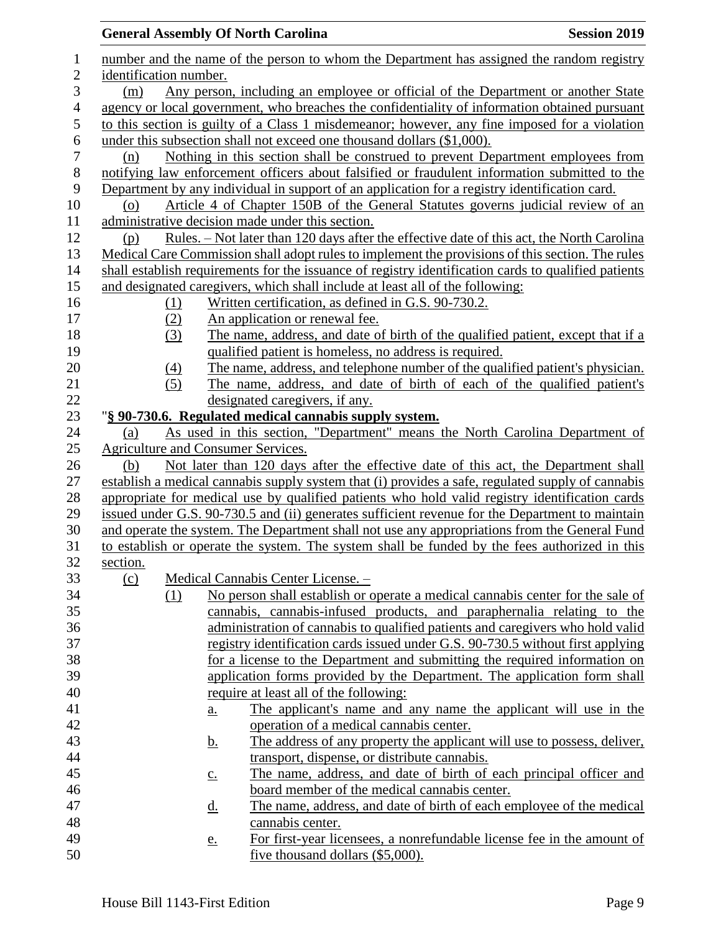|                |                        |                  |                   | <b>General Assembly Of North Carolina</b>                                     | <b>Session 2019</b>                                                                                  |
|----------------|------------------------|------------------|-------------------|-------------------------------------------------------------------------------|------------------------------------------------------------------------------------------------------|
| 1              |                        |                  |                   |                                                                               | number and the name of the person to whom the Department has assigned the random registry            |
| $\mathbf{2}$   | identification number. |                  |                   |                                                                               |                                                                                                      |
| 3              | (m)                    |                  |                   |                                                                               | Any person, including an employee or official of the Department or another State                     |
| $\overline{4}$ |                        |                  |                   |                                                                               | agency or local government, who breaches the confidentiality of information obtained pursuant        |
| 5              |                        |                  |                   |                                                                               | to this section is guilty of a Class 1 misdemeanor; however, any fine imposed for a violation        |
| 6              |                        |                  |                   | under this subsection shall not exceed one thousand dollars (\$1,000).        |                                                                                                      |
| $\tau$         | (n)                    |                  |                   |                                                                               | Nothing in this section shall be construed to prevent Department employees from                      |
| $8\,$          |                        |                  |                   |                                                                               | notifying law enforcement officers about falsified or fraudulent information submitted to the        |
| 9              |                        |                  |                   |                                                                               | Department by any individual in support of an application for a registry identification card.        |
| 10             | (0)                    |                  |                   |                                                                               | Article 4 of Chapter 150B of the General Statutes governs judicial review of an                      |
| 11             |                        |                  |                   | administrative decision made under this section.                              |                                                                                                      |
| 12             | (p)                    |                  |                   |                                                                               | <u>Rules. – Not later than 120 days after the effective date of this act, the North Carolina</u>     |
| 13             |                        |                  |                   |                                                                               | Medical Care Commission shall adopt rules to implement the provisions of this section. The rules     |
| 14             |                        |                  |                   |                                                                               | shall establish requirements for the issuance of registry identification cards to qualified patients |
| 15             |                        |                  |                   | and designated caregivers, which shall include at least all of the following: |                                                                                                      |
| 16             |                        | <u>(1)</u>       |                   | Written certification, as defined in G.S. 90-730.2.                           |                                                                                                      |
| 17             |                        | (2)              |                   | An application or renewal fee.                                                |                                                                                                      |
| 18             |                        | (3)              |                   |                                                                               | The name, address, and date of birth of the qualified patient, except that if a                      |
| 19             |                        |                  |                   | qualified patient is homeless, no address is required.                        |                                                                                                      |
| 20             |                        | $\left(4\right)$ |                   |                                                                               | The name, address, and telephone number of the qualified patient's physician.                        |
| 21             |                        | (5)              |                   |                                                                               | The name, address, and date of birth of each of the qualified patient's                              |
| 22             |                        |                  |                   | designated caregivers, if any.                                                |                                                                                                      |
| 23             |                        |                  |                   | "§ 90-730.6. Regulated medical cannabis supply system.                        |                                                                                                      |
| 24<br>25       | (a)                    |                  |                   | <b>Agriculture and Consumer Services.</b>                                     | As used in this section, "Department" means the North Carolina Department of                         |
| 26             | (b)                    |                  |                   |                                                                               | Not later than 120 days after the effective date of this act, the Department shall                   |
| 27             |                        |                  |                   |                                                                               | establish a medical cannabis supply system that (i) provides a safe, regulated supply of cannabis    |
| 28             |                        |                  |                   |                                                                               | appropriate for medical use by qualified patients who hold valid registry identification cards       |
| 29             |                        |                  |                   |                                                                               | issued under G.S. 90-730.5 and (ii) generates sufficient revenue for the Department to maintain      |
| 30             |                        |                  |                   |                                                                               | and operate the system. The Department shall not use any appropriations from the General Fund        |
| 31             |                        |                  |                   |                                                                               | to establish or operate the system. The system shall be funded by the fees authorized in this        |
| 32             | section.               |                  |                   |                                                                               |                                                                                                      |
| 33             | (c)                    |                  |                   | Medical Cannabis Center License. -                                            |                                                                                                      |
| 34             |                        | (1)              |                   |                                                                               | No person shall establish or operate a medical cannabis center for the sale of                       |
| 35             |                        |                  |                   |                                                                               | cannabis, cannabis-infused products, and paraphernalia relating to the                               |
| 36             |                        |                  |                   |                                                                               | administration of cannabis to qualified patients and caregivers who hold valid                       |
| 37             |                        |                  |                   |                                                                               | registry identification cards issued under G.S. 90-730.5 without first applying                      |
| 38             |                        |                  |                   |                                                                               | for a license to the Department and submitting the required information on                           |
| 39             |                        |                  |                   |                                                                               | application forms provided by the Department. The application form shall                             |
| 40             |                        |                  |                   | require at least all of the following:                                        |                                                                                                      |
| 41             |                        |                  | $\underline{a}$ . |                                                                               | The applicant's name and any name the applicant will use in the                                      |
| 42             |                        |                  |                   | operation of a medical cannabis center.                                       |                                                                                                      |
| 43             |                        |                  | <u>b.</u>         |                                                                               | The address of any property the applicant will use to possess, deliver,                              |
| 44             |                        |                  |                   | transport, dispense, or distribute cannabis.                                  |                                                                                                      |
| 45             |                        |                  | $\underline{c}$ . |                                                                               | The name, address, and date of birth of each principal officer and                                   |
| 46             |                        |                  |                   | board member of the medical cannabis center.                                  |                                                                                                      |
| 47             |                        |                  | <u>d.</u>         |                                                                               | The name, address, and date of birth of each employee of the medical                                 |
| 48             |                        |                  |                   | cannabis center.                                                              |                                                                                                      |
| 49             |                        |                  | <u>e.</u>         |                                                                               | For first-year licensees, a nonrefundable license fee in the amount of                               |
| 50             |                        |                  |                   | five thousand dollars (\$5,000).                                              |                                                                                                      |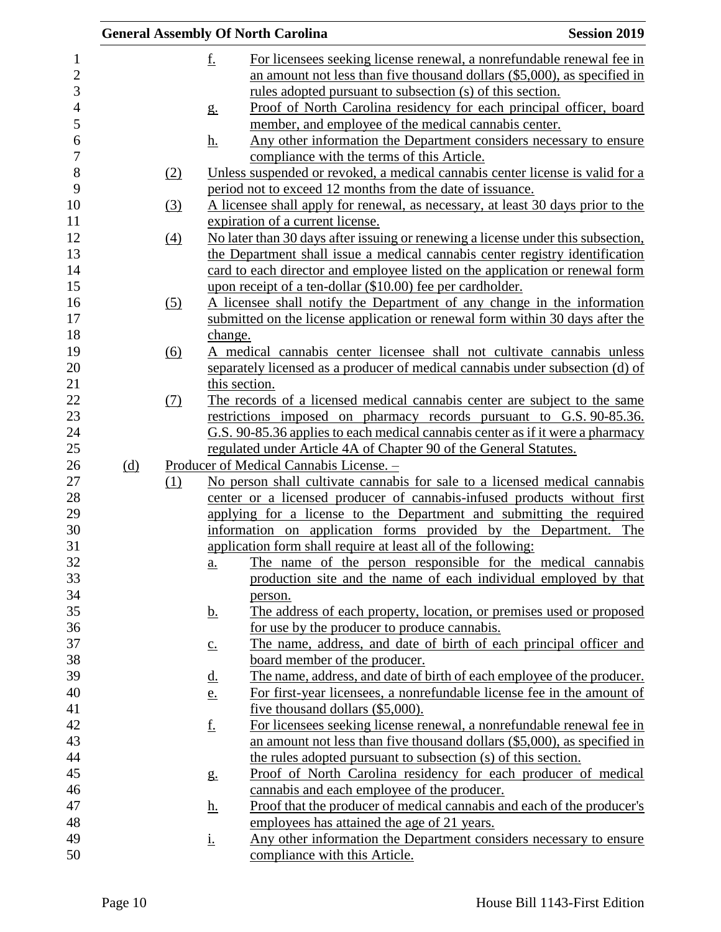|     |                   |                   | <b>General Assembly Of North Carolina</b>                                                                                                            | <b>Session 2019</b> |
|-----|-------------------|-------------------|------------------------------------------------------------------------------------------------------------------------------------------------------|---------------------|
|     |                   | <u>f.</u>         | For licensees seeking license renewal, a nonrefundable renewal fee in<br>an amount not less than five thousand dollars $(\$5,000)$ , as specified in |                     |
|     |                   |                   | <u>rules</u> adopted pursuant to subsection (s) of this section.                                                                                     |                     |
|     |                   | g <sub>1</sub>    | Proof of North Carolina residency for each principal officer, board<br>member, and employee of the medical cannabis center.                          |                     |
|     |                   | <u>h.</u>         | Any other information the Department considers necessary to ensure                                                                                   |                     |
|     |                   |                   | compliance with the terms of this Article.                                                                                                           |                     |
|     | (2)               |                   | Unless suspended or revoked, a medical cannabis center license is valid for a<br>period not to exceed 12 months from the date of issuance.           |                     |
|     | $\left(3\right)$  |                   | A licensee shall apply for renewal, as necessary, at least 30 days prior to the                                                                      |                     |
|     |                   |                   | expiration of a current license.                                                                                                                     |                     |
|     | $\underline{(4)}$ |                   | No later than 30 days after issuing or renewing a license under this subsection,                                                                     |                     |
|     |                   |                   | the Department shall issue a medical cannabis center registry identification                                                                         |                     |
|     |                   |                   | card to each director and employee listed on the application or renewal form                                                                         |                     |
|     |                   |                   | upon receipt of a ten-dollar (\$10.00) fee per cardholder.                                                                                           |                     |
|     | (5)               |                   | A licensee shall notify the Department of any change in the information                                                                              |                     |
|     |                   |                   | submitted on the license application or renewal form within 30 days after the                                                                        |                     |
|     |                   | change.           |                                                                                                                                                      |                     |
|     | $\underline{(6)}$ |                   | A medical cannabis center licensee shall not cultivate cannabis unless                                                                               |                     |
|     |                   |                   | separately licensed as a producer of medical cannabis under subsection (d) of                                                                        |                     |
|     |                   |                   | this section.                                                                                                                                        |                     |
|     | (7)               |                   | The records of a licensed medical cannabis center are subject to the same                                                                            |                     |
|     |                   |                   | restrictions imposed on pharmacy records pursuant to G.S. 90-85.36.                                                                                  |                     |
|     |                   |                   | G.S. 90-85.36 applies to each medical cannabis center as if it were a pharmacy                                                                       |                     |
|     |                   |                   | regulated under Article 4A of Chapter 90 of the General Statutes.                                                                                    |                     |
| (d) |                   |                   | Producer of Medical Cannabis License. -                                                                                                              |                     |
|     | (1)               |                   | No person shall cultivate cannabis for sale to a licensed medical cannabis                                                                           |                     |
|     |                   |                   | center or a licensed producer of cannabis-infused products without first                                                                             |                     |
|     |                   |                   | applying for a license to the Department and submitting the required                                                                                 |                     |
|     |                   |                   | information on application forms provided by the Department. The                                                                                     |                     |
|     |                   |                   | application form shall require at least all of the following:<br>The name of the person responsible for the medical cannabis                         |                     |
|     |                   | <u>a.</u>         | production site and the name of each individual employed by that                                                                                     |                     |
|     |                   |                   |                                                                                                                                                      |                     |
|     |                   | <u>b.</u>         | person.<br>The address of each property, location, or premises used or proposed                                                                      |                     |
|     |                   |                   | for use by the producer to produce cannabis.                                                                                                         |                     |
|     |                   | $\underline{c}$ . | The name, address, and date of birth of each principal officer and                                                                                   |                     |
|     |                   |                   | <u>board member of the producer.</u>                                                                                                                 |                     |
|     |                   | <u>d.</u>         | The name, address, and date of birth of each employee of the producer.                                                                               |                     |
|     |                   | e.                | For first-year licensees, a nonrefundable license fee in the amount of                                                                               |                     |
|     |                   |                   | five thousand dollars (\$5,000).                                                                                                                     |                     |
|     |                   | <u>f.</u>         | For licensees seeking license renewal, a nonrefundable renewal fee in                                                                                |                     |
|     |                   |                   | an amount not less than five thousand dollars $(\$5,000)$ , as specified in                                                                          |                     |
|     |                   |                   | the rules adopted pursuant to subsection (s) of this section.                                                                                        |                     |
|     |                   | g <sub>1</sub>    | Proof of North Carolina residency for each producer of medical                                                                                       |                     |
|     |                   |                   | cannabis and each employee of the producer.                                                                                                          |                     |
|     |                   | <u>h.</u>         | Proof that the producer of medical cannabis and each of the producer's                                                                               |                     |
|     |                   |                   | employees has attained the age of 21 years.                                                                                                          |                     |
|     |                   | <u>i.</u>         | Any other information the Department considers necessary to ensure                                                                                   |                     |
|     |                   |                   | compliance with this Article.                                                                                                                        |                     |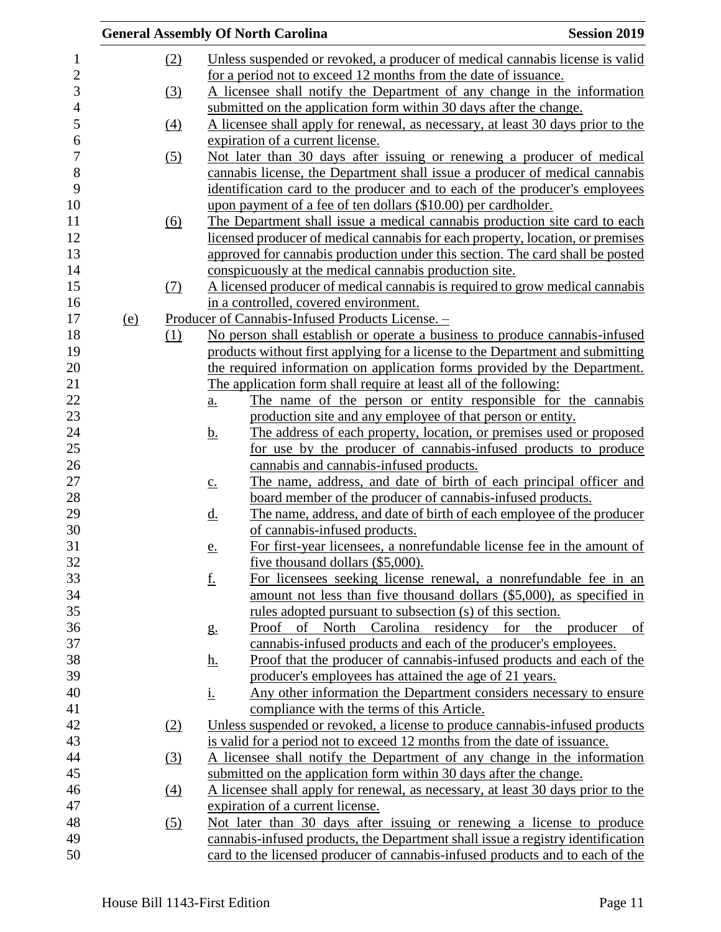|                |            |                   | <b>General Assembly Of North Carolina</b>                                               | <b>Session 2019</b> |
|----------------|------------|-------------------|-----------------------------------------------------------------------------------------|---------------------|
| $\mathbf{1}$   |            | (2)               | Unless suspended or revoked, a producer of medical cannabis license is valid            |                     |
| $\overline{2}$ |            |                   | for a period not to exceed 12 months from the date of issuance.                         |                     |
| 3              |            | (3)               | A licensee shall notify the Department of any change in the information                 |                     |
| $\overline{4}$ |            |                   | submitted on the application form within 30 days after the change.                      |                     |
| 5              |            | $\underline{(4)}$ | A licensee shall apply for renewal, as necessary, at least 30 days prior to the         |                     |
| 6              |            |                   | expiration of a current license.                                                        |                     |
| $\overline{7}$ |            | (5)               | Not later than 30 days after issuing or renewing a producer of medical                  |                     |
| 8              |            |                   | cannabis license, the Department shall issue a producer of medical cannabis             |                     |
| 9              |            |                   | identification card to the producer and to each of the producer's employees             |                     |
| 10             |            |                   | upon payment of a fee of ten dollars (\$10.00) per cardholder.                          |                     |
| 11             |            | (6)               | The Department shall issue a medical cannabis production site card to each              |                     |
| 12             |            |                   | licensed producer of medical cannabis for each property, location, or premises          |                     |
| 13             |            |                   | approved for cannabis production under this section. The card shall be posted           |                     |
| 14             |            |                   | conspicuously at the medical cannabis production site.                                  |                     |
| 15             |            | (7)               | A licensed producer of medical cannabis is required to grow medical cannabis            |                     |
| 16             |            |                   | in a controlled, covered environment.                                                   |                     |
| 17             | <u>(e)</u> |                   | Producer of Cannabis-Infused Products License. -                                        |                     |
| 18             |            | (1)               | No person shall establish or operate a business to produce cannabis-infused             |                     |
| 19             |            |                   | products without first applying for a license to the Department and submitting          |                     |
| 20             |            |                   | the required information on application forms provided by the Department.               |                     |
| 21             |            |                   | The application form shall require at least all of the following:                       |                     |
| 22             |            |                   | The name of the person or entity responsible for the cannabis<br><u>a.</u>              |                     |
| 23             |            |                   | production site and any employee of that person or entity.                              |                     |
| 24             |            |                   | The address of each property, location, or premises used or proposed<br><u>b.</u>       |                     |
| 25             |            |                   | for use by the producer of cannabis-infused products to produce                         |                     |
| 26             |            |                   | cannabis and cannabis-infused products.                                                 |                     |
| 27             |            |                   | The name, address, and date of birth of each principal officer and<br>$\underline{c}$ . |                     |
| 28             |            |                   | board member of the producer of cannabis-infused products.                              |                     |
| 29             |            |                   | The name, address, and date of birth of each employee of the producer<br><u>d.</u>      |                     |
| $30\,$         |            |                   | of cannabis-infused products.                                                           |                     |
| 31             |            |                   | For first-year licensees, a nonrefundable license fee in the amount of<br>e.            |                     |
| 32             |            |                   | five thousand dollars $(\$5,000)$ .                                                     |                     |
| 33             |            |                   | <u>f.</u><br>For licensees seeking license renewal, a nonrefundable fee in an           |                     |
| 34             |            |                   | amount not less than five thousand dollars (\$5,000), as specified in                   |                     |
| 35             |            |                   | rules adopted pursuant to subsection (s) of this section.                               |                     |
| 36             |            |                   | Proof of North Carolina residency for the producer<br>g <sub>1</sub>                    | of                  |
| 37             |            |                   | cannabis-infused products and each of the producer's employees.                         |                     |
| 38             |            |                   | Proof that the producer of cannabis-infused products and each of the<br><u>h.</u>       |                     |
| 39             |            |                   | producer's employees has attained the age of 21 years.                                  |                     |
| 40             |            |                   | <u>i.</u><br>Any other information the Department considers necessary to ensure         |                     |
| 41             |            |                   | compliance with the terms of this Article.                                              |                     |
| 42             |            | (2)               | Unless suspended or revoked, a license to produce cannabis-infused products             |                     |
| 43             |            |                   | is valid for a period not to exceed 12 months from the date of issuance.                |                     |
| 44             |            | $\left(3\right)$  | A licensee shall notify the Department of any change in the information                 |                     |
| 45             |            |                   | submitted on the application form within 30 days after the change.                      |                     |
| 46             |            | $\underline{(4)}$ | A licensee shall apply for renewal, as necessary, at least 30 days prior to the         |                     |
| 47             |            |                   | expiration of a current license.                                                        |                     |
| 48             |            | (5)               | Not later than 30 days after issuing or renewing a license to produce                   |                     |
| 49             |            |                   | cannabis-infused products, the Department shall issue a registry identification         |                     |
| 50             |            |                   | card to the licensed producer of cannabis-infused products and to each of the           |                     |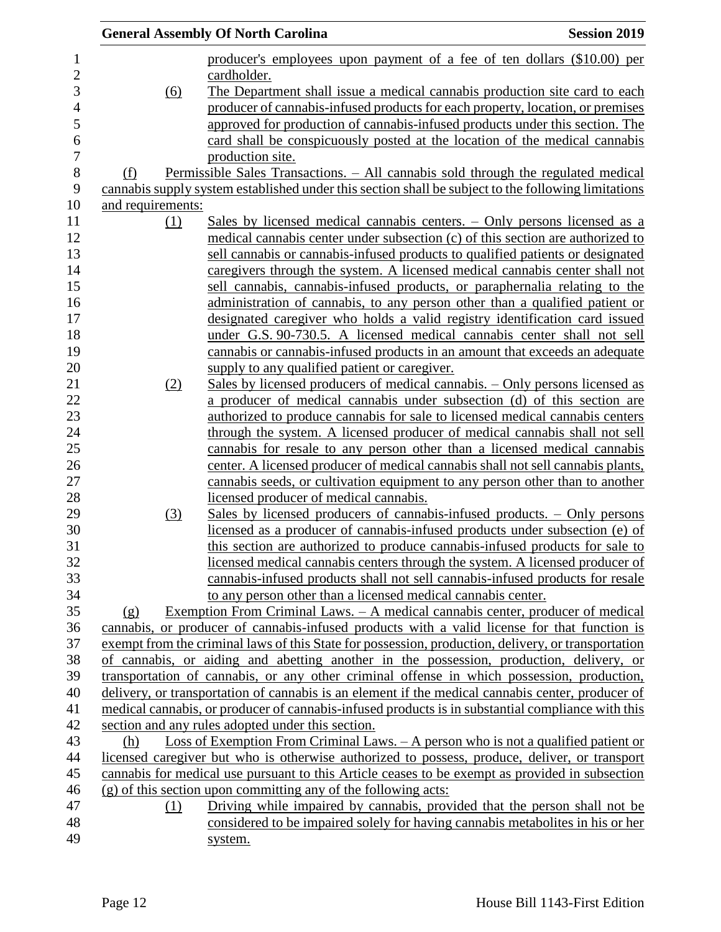|                                |     | <b>General Assembly Of North Carolina</b>                                                           | <b>Session 2019</b> |
|--------------------------------|-----|-----------------------------------------------------------------------------------------------------|---------------------|
|                                |     | producer's employees upon payment of a fee of ten dollars (\$10.00) per                             |                     |
|                                |     | cardholder.                                                                                         |                     |
|                                | (6) | The Department shall issue a medical cannabis production site card to each                          |                     |
|                                |     | producer of cannabis-infused products for each property, location, or premises                      |                     |
|                                |     | approved for production of cannabis-infused products under this section. The                        |                     |
|                                |     | card shall be conspicuously posted at the location of the medical cannabis                          |                     |
|                                |     | production site.                                                                                    |                     |
| (f)                            |     | <u> Permissible Sales Transactions. – All cannabis sold through the regulated medical</u>           |                     |
|                                |     | cannabis supply system established under this section shall be subject to the following limitations |                     |
| and requirements:              |     |                                                                                                     |                     |
|                                | (1) | Sales by licensed medical cannabis centers. – Only persons licensed as a                            |                     |
|                                |     | medical cannabis center under subsection (c) of this section are authorized to                      |                     |
|                                |     | sell cannabis or cannabis-infused products to qualified patients or designated                      |                     |
|                                |     | caregivers through the system. A licensed medical cannabis center shall not                         |                     |
|                                |     | sell cannabis, cannabis-infused products, or paraphernalia relating to the                          |                     |
|                                |     | administration of cannabis, to any person other than a qualified patient or                         |                     |
|                                |     | designated caregiver who holds a valid registry identification card issued                          |                     |
|                                |     | under G.S. 90-730.5. A licensed medical cannabis center shall not sell                              |                     |
|                                |     | cannabis or cannabis-infused products in an amount that exceeds an adequate                         |                     |
|                                |     | supply to any qualified patient or caregiver.                                                       |                     |
|                                | (2) | Sales by licensed producers of medical cannabis. – Only persons licensed as                         |                     |
|                                |     | a producer of medical cannabis under subsection (d) of this section are                             |                     |
|                                |     | authorized to produce cannabis for sale to licensed medical cannabis centers                        |                     |
|                                |     | through the system. A licensed producer of medical cannabis shall not sell                          |                     |
|                                |     | cannabis for resale to any person other than a licensed medical cannabis                            |                     |
|                                |     | center. A licensed producer of medical cannabis shall not sell cannabis plants,                     |                     |
|                                |     | cannabis seeds, or cultivation equipment to any person other than to another                        |                     |
|                                |     | licensed producer of medical cannabis.                                                              |                     |
|                                | (3) | <u>Sales by licensed producers of cannabis-infused products. – Only persons</u>                     |                     |
|                                |     | licensed as a producer of cannabis-infused products under subsection (e) of                         |                     |
|                                |     | this section are authorized to produce cannabis-infused products for sale to                        |                     |
|                                |     | licensed medical cannabis centers through the system. A licensed producer of                        |                     |
|                                |     | cannabis-infused products shall not sell cannabis-infused products for resale                       |                     |
|                                |     | to any person other than a licensed medical cannabis center.                                        |                     |
| $\left( \underline{g} \right)$ |     | Exemption From Criminal Laws. – A medical cannabis center, producer of medical                      |                     |
|                                |     | cannabis, or producer of cannabis-infused products with a valid license for that function is        |                     |
|                                |     | exempt from the criminal laws of this State for possession, production, delivery, or transportation |                     |
|                                |     | of cannabis, or aiding and abetting another in the possession, production, delivery, or             |                     |
|                                |     | transportation of cannabis, or any other criminal offense in which possession, production,          |                     |
|                                |     | delivery, or transportation of cannabis is an element if the medical cannabis center, producer of   |                     |
|                                |     | medical cannabis, or producer of cannabis-infused products is in substantial compliance with this   |                     |
|                                |     | section and any rules adopted under this section.                                                   |                     |
| (h)                            |     | Loss of Exemption From Criminal Laws. $-A$ person who is not a qualified patient or                 |                     |
|                                |     | licensed caregiver but who is otherwise authorized to possess, produce, deliver, or transport       |                     |
|                                |     | cannabis for medical use pursuant to this Article ceases to be exempt as provided in subsection     |                     |
|                                |     | $(g)$ of this section upon committing any of the following acts:                                    |                     |
|                                | (1) | Driving while impaired by cannabis, provided that the person shall not be                           |                     |
|                                |     | considered to be impaired solely for having cannabis metabolities in his or her                     |                     |
|                                |     | system.                                                                                             |                     |
|                                |     |                                                                                                     |                     |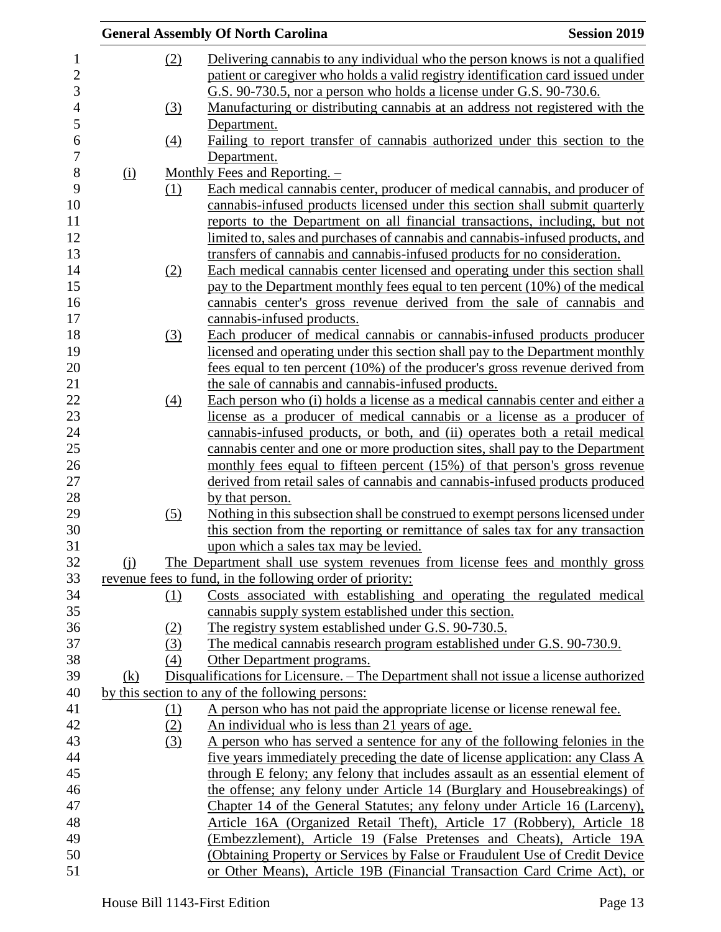|            |     | <b>General Assembly Of North Carolina</b>                                              | <b>Session 2019</b> |
|------------|-----|----------------------------------------------------------------------------------------|---------------------|
|            | (2) | Delivering cannabis to any individual who the person knows is not a qualified          |                     |
|            |     | patient or caregiver who holds a valid registry identification card issued under       |                     |
|            |     | G.S. 90-730.5, nor a person who holds a license under G.S. 90-730.6.                   |                     |
|            | (3) | Manufacturing or distributing cannabis at an address not registered with the           |                     |
|            |     | Department.                                                                            |                     |
|            | (4) | Failing to report transfer of cannabis authorized under this section to the            |                     |
|            |     | Department.                                                                            |                     |
| (i)        |     | Monthly Fees and Reporting. $-$                                                        |                     |
|            | (1) | Each medical cannabis center, producer of medical cannabis, and producer of            |                     |
|            |     | cannabis-infused products licensed under this section shall submit quarterly           |                     |
|            |     | reports to the Department on all financial transactions, including, but not            |                     |
|            |     | limited to, sales and purchases of cannabis and cannabis-infused products, and         |                     |
|            |     | transfers of cannabis and cannabis-infused products for no consideration.              |                     |
|            | (2) | Each medical cannabis center licensed and operating under this section shall           |                     |
|            |     | pay to the Department monthly fees equal to ten percent (10%) of the medical           |                     |
|            |     | cannabis center's gross revenue derived from the sale of cannabis and                  |                     |
|            |     | cannabis-infused products.                                                             |                     |
|            | (3) | Each producer of medical cannabis or cannabis-infused products producer                |                     |
|            |     | licensed and operating under this section shall pay to the Department monthly          |                     |
|            |     | fees equal to ten percent (10%) of the producer's gross revenue derived from           |                     |
|            |     | the sale of cannabis and cannabis-infused products.                                    |                     |
|            | (4) | Each person who (i) holds a license as a medical cannabis center and either a          |                     |
|            |     | license as a producer of medical cannabis or a license as a producer of                |                     |
|            |     | cannabis-infused products, or both, and (ii) operates both a retail medical            |                     |
|            |     | cannabis center and one or more production sites, shall pay to the Department          |                     |
|            |     | monthly fees equal to fifteen percent (15%) of that person's gross revenue             |                     |
|            |     | derived from retail sales of cannabis and cannabis-infused products produced           |                     |
|            |     | by that person.                                                                        |                     |
|            | (5) | Nothing in this subsection shall be construed to exempt persons licensed under         |                     |
|            |     | this section from the reporting or remittance of sales tax for any transaction         |                     |
|            |     | upon which a sales tax may be levied.                                                  |                     |
| (i)        |     | The Department shall use system revenues from license fees and monthly gross           |                     |
|            |     | revenue fees to fund, in the following order of priority:                              |                     |
|            | (1) | Costs associated with establishing and operating the regulated medical                 |                     |
|            |     | cannabis supply system established under this section.                                 |                     |
|            | (2) | The registry system established under G.S. 90-730.5.                                   |                     |
|            | (3) | The medical cannabis research program established under G.S. 90-730.9.                 |                     |
|            | (4) | Other Department programs.                                                             |                     |
| <u>(k)</u> |     | Disqualifications for Licensure. – The Department shall not issue a license authorized |                     |
|            |     | by this section to any of the following persons:                                       |                     |
|            | (1) | A person who has not paid the appropriate license or license renewal fee.              |                     |
|            | (2) | An individual who is less than 21 years of age.                                        |                     |
|            | (3) | A person who has served a sentence for any of the following felonies in the            |                     |
|            |     | five years immediately preceding the date of license application: any Class A          |                     |
|            |     | through E felony; any felony that includes assault as an essential element of          |                     |
|            |     | the offense; any felony under Article 14 (Burglary and Housebreakings) of              |                     |
|            |     | Chapter 14 of the General Statutes; any felony under Article 16 (Larceny),             |                     |
|            |     | Article 16A (Organized Retail Theft), Article 17 (Robbery), Article 18                 |                     |
|            |     | (Embezzlement), Article 19 (False Pretenses and Cheats), Article 19A                   |                     |
|            |     | (Obtaining Property or Services by False or Fraudulent Use of Credit Device            |                     |
|            |     | or Other Means), Article 19B (Financial Transaction Card Crime Act), or                |                     |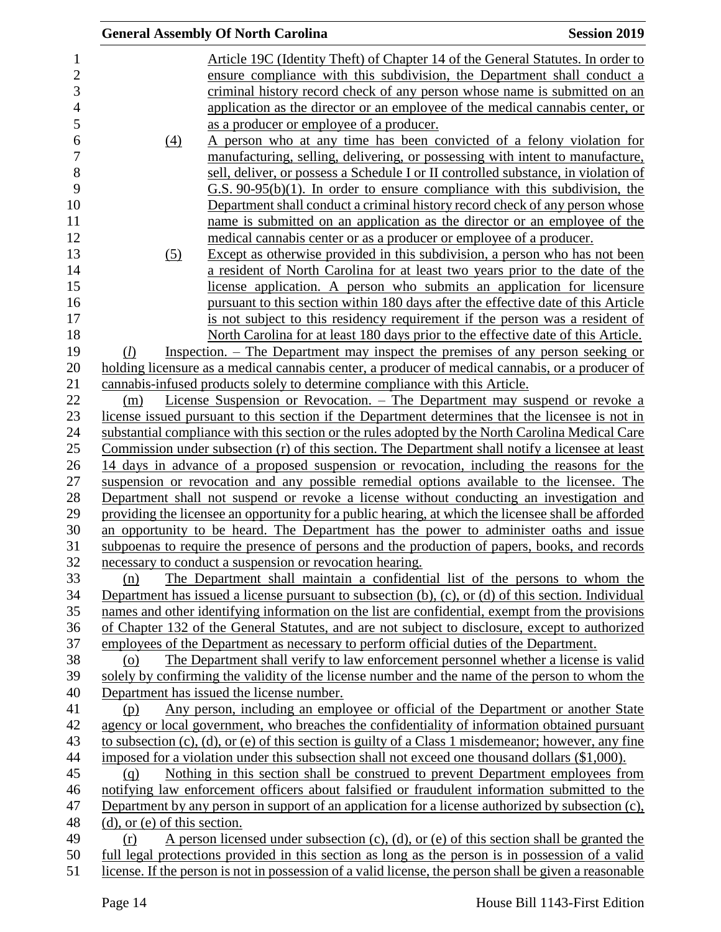|                                   | <b>General Assembly Of North Carolina</b>                                                                                                                                                             | <b>Session 2019</b> |
|-----------------------------------|-------------------------------------------------------------------------------------------------------------------------------------------------------------------------------------------------------|---------------------|
|                                   | Article 19C (Identity Theft) of Chapter 14 of the General Statutes. In order to                                                                                                                       |                     |
|                                   | ensure compliance with this subdivision, the Department shall conduct a                                                                                                                               |                     |
|                                   | criminal history record check of any person whose name is submitted on an                                                                                                                             |                     |
|                                   | application as the director or an employee of the medical cannabis center, or                                                                                                                         |                     |
|                                   | as a producer or employee of a producer.                                                                                                                                                              |                     |
| (4)                               | A person who at any time has been convicted of a felony violation for                                                                                                                                 |                     |
|                                   | manufacturing, selling, delivering, or possessing with intent to manufacture,                                                                                                                         |                     |
|                                   | sell, deliver, or possess a Schedule I or II controlled substance, in violation of                                                                                                                    |                     |
|                                   | $G.S. 90-95(b)(1)$ . In order to ensure compliance with this subdivision, the                                                                                                                         |                     |
|                                   | Department shall conduct a criminal history record check of any person whose                                                                                                                          |                     |
|                                   | name is submitted on an application as the director or an employee of the                                                                                                                             |                     |
|                                   | medical cannabis center or as a producer or employee of a producer.                                                                                                                                   |                     |
| (5)                               | Except as otherwise provided in this subdivision, a person who has not been                                                                                                                           |                     |
|                                   | a resident of North Carolina for at least two years prior to the date of the                                                                                                                          |                     |
|                                   | license application. A person who submits an application for licensure                                                                                                                                |                     |
|                                   | pursuant to this section within 180 days after the effective date of this Article                                                                                                                     |                     |
|                                   | is not subject to this residency requirement if the person was a resident of                                                                                                                          |                     |
|                                   | North Carolina for at least 180 days prior to the effective date of this Article.                                                                                                                     |                     |
| (l)                               | Inspection. – The Department may inspect the premises of any person seeking or                                                                                                                        |                     |
|                                   | holding licensure as a medical cannabis center, a producer of medical cannabis, or a producer of                                                                                                      |                     |
|                                   | cannabis-infused products solely to determine compliance with this Article.                                                                                                                           |                     |
| (m)                               | License Suspension or Revocation. – The Department may suspend or revoke a                                                                                                                            |                     |
|                                   | license issued pursuant to this section if the Department determines that the licensee is not in                                                                                                      |                     |
|                                   | substantial compliance with this section or the rules adopted by the North Carolina Medical Care                                                                                                      |                     |
|                                   | Commission under subsection (r) of this section. The Department shall notify a licensee at least                                                                                                      |                     |
|                                   | 14 days in advance of a proposed suspension or revocation, including the reasons for the                                                                                                              |                     |
|                                   | suspension or revocation and any possible remedial options available to the licensee. The                                                                                                             |                     |
|                                   | Department shall not suspend or revoke a license without conducting an investigation and                                                                                                              |                     |
|                                   | providing the licensee an opportunity for a public hearing, at which the licensee shall be afforded                                                                                                   |                     |
|                                   | an opportunity to be heard. The Department has the power to administer oaths and issue                                                                                                                |                     |
|                                   | subpoenas to require the presence of persons and the production of papers, books, and records                                                                                                         |                     |
|                                   | necessary to conduct a suspension or revocation hearing.                                                                                                                                              |                     |
| (n)                               | The Department shall maintain a confidential list of the persons to whom the                                                                                                                          |                     |
|                                   | Department has issued a license pursuant to subsection $(b)$ , $(c)$ , or $(d)$ of this section. Individual                                                                                           |                     |
|                                   | names and other identifying information on the list are confidential, exempt from the provisions                                                                                                      |                     |
|                                   | of Chapter 132 of the General Statutes, and are not subject to disclosure, except to authorized                                                                                                       |                     |
|                                   | employees of the Department as necessary to perform official duties of the Department.                                                                                                                |                     |
| (o)                               | The Department shall verify to law enforcement personnel whether a license is valid                                                                                                                   |                     |
|                                   | solely by confirming the validity of the license number and the name of the person to whom the                                                                                                        |                     |
|                                   | Department has issued the license number.                                                                                                                                                             |                     |
| (p)                               | Any person, including an employee or official of the Department or another State                                                                                                                      |                     |
|                                   | agency or local government, who breaches the confidentiality of information obtained pursuant                                                                                                         |                     |
|                                   | to subsection $(c)$ , $(d)$ , or $(e)$ of this section is guilty of a Class 1 misdemeanor; however, any fine                                                                                          |                     |
|                                   | imposed for a violation under this subsection shall not exceed one thousand dollars (\$1,000).                                                                                                        |                     |
| (q)                               | Nothing in this section shall be construed to prevent Department employees from                                                                                                                       |                     |
|                                   | notifying law enforcement officers about falsified or fraudulent information submitted to the                                                                                                         |                     |
|                                   | Department by any person in support of an application for a license authorized by subsection (c),                                                                                                     |                     |
| $(d)$ , or $(e)$ of this section. |                                                                                                                                                                                                       |                     |
| (r)                               | A person licensed under subsection $(c)$ , $(d)$ , or $(e)$ of this section shall be granted the<br>full legal protections provided in this section as long as the person is in possession of a valid |                     |
|                                   | license. If the person is not in possession of a valid license, the person shall be given a reasonable                                                                                                |                     |
|                                   |                                                                                                                                                                                                       |                     |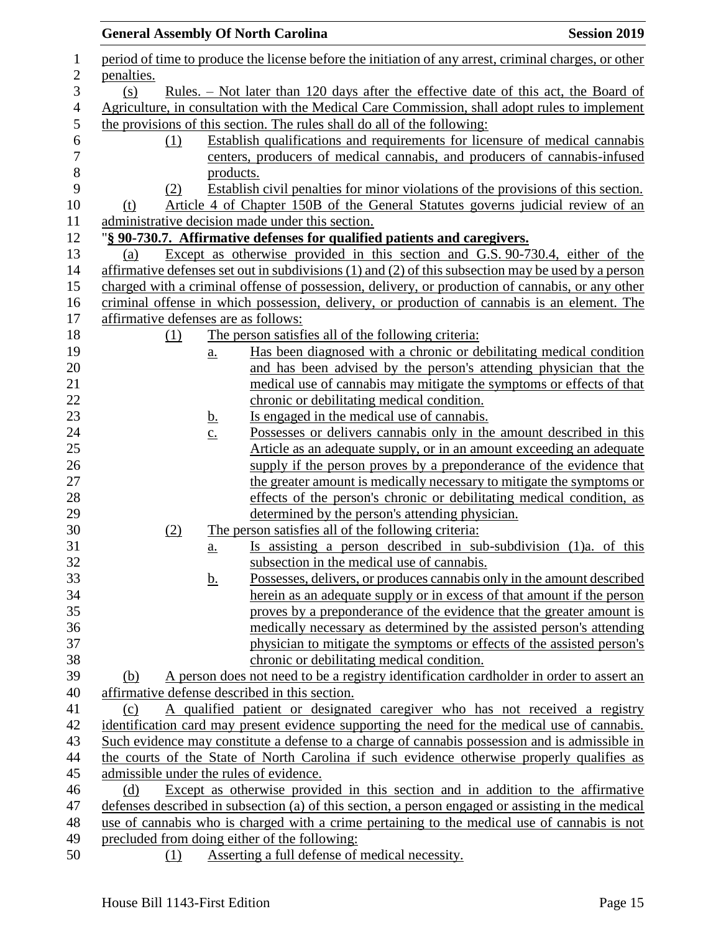|            | <b>General Assembly Of North Carolina</b><br><b>Session 2019</b>                                                                               |  |
|------------|------------------------------------------------------------------------------------------------------------------------------------------------|--|
|            | period of time to produce the license before the initiation of any arrest, criminal charges, or other                                          |  |
| penalties. |                                                                                                                                                |  |
| (s)        | <u>Rules. – Not later than 120 days after the effective date of this act, the Board of</u>                                                     |  |
|            | Agriculture, in consultation with the Medical Care Commission, shall adopt rules to implement                                                  |  |
|            | the provisions of this section. The rules shall do all of the following:                                                                       |  |
| (1)        | Establish qualifications and requirements for licensure of medical cannabis                                                                    |  |
|            | centers, producers of medical cannabis, and producers of cannabis-infused                                                                      |  |
|            | products.                                                                                                                                      |  |
| (2)        | Establish civil penalties for minor violations of the provisions of this section.                                                              |  |
| (t)        | Article 4 of Chapter 150B of the General Statutes governs judicial review of an                                                                |  |
|            | administrative decision made under this section.                                                                                               |  |
|            | "§ 90-730.7. Affirmative defenses for qualified patients and caregivers.                                                                       |  |
| (a)        | Except as otherwise provided in this section and G.S. 90-730.4, either of the                                                                  |  |
|            | affirmative defenses set out in subdivisions $(1)$ and $(2)$ of this subsection may be used by a person                                        |  |
|            | charged with a criminal offense of possession, delivery, or production of cannabis, or any other                                               |  |
|            | criminal offense in which possession, delivery, or production of cannabis is an element. The                                                   |  |
|            | affirmative defenses are as follows:                                                                                                           |  |
| (1)        | The person satisfies all of the following criteria:                                                                                            |  |
|            | Has been diagnosed with a chronic or debilitating medical condition<br>$a_{\cdot}$                                                             |  |
|            | and has been advised by the person's attending physician that the                                                                              |  |
|            | medical use of cannabis may mitigate the symptoms or effects of that                                                                           |  |
|            | chronic or debilitating medical condition.                                                                                                     |  |
|            | Is engaged in the medical use of cannabis.<br><u>b.</u>                                                                                        |  |
|            | Possesses or delivers cannabis only in the amount described in this<br>$\underline{c}$ .                                                       |  |
|            | Article as an adequate supply, or in an amount exceeding an adequate                                                                           |  |
|            | supply if the person proves by a preponderance of the evidence that                                                                            |  |
|            | the greater amount is medically necessary to mitigate the symptoms or                                                                          |  |
|            | effects of the person's chronic or debilitating medical condition, as                                                                          |  |
|            | determined by the person's attending physician.                                                                                                |  |
| (2)        | The person satisfies all of the following criteria:                                                                                            |  |
|            | Is assisting a person described in sub-subdivision (1)a. of this<br>a.<br>subsection in the medical use of cannabis.                           |  |
|            |                                                                                                                                                |  |
|            | Possesses, delivers, or produces cannabis only in the amount described<br><u>b.</u>                                                            |  |
|            | herein as an adequate supply or in excess of that amount if the person<br>proves by a preponderance of the evidence that the greater amount is |  |
|            | medically necessary as determined by the assisted person's attending                                                                           |  |
|            | physician to mitigate the symptoms or effects of the assisted person's                                                                         |  |
|            | chronic or debilitating medical condition.                                                                                                     |  |
| (b)        | A person does not need to be a registry identification cardholder in order to assert an                                                        |  |
|            | affirmative defense described in this section.                                                                                                 |  |
| (c)        | A qualified patient or designated caregiver who has not received a registry                                                                    |  |
|            | identification card may present evidence supporting the need for the medical use of cannabis.                                                  |  |
|            | Such evidence may constitute a defense to a charge of cannabis possession and is admissible in                                                 |  |
|            | the courts of the State of North Carolina if such evidence otherwise properly qualifies as                                                     |  |
|            | admissible under the rules of evidence.                                                                                                        |  |
| (d)        | Except as otherwise provided in this section and in addition to the affirmative                                                                |  |
|            | defenses described in subsection (a) of this section, a person engaged or assisting in the medical                                             |  |
|            | use of cannabis who is charged with a crime pertaining to the medical use of cannabis is not                                                   |  |
|            | precluded from doing either of the following:                                                                                                  |  |
| (1)        | Asserting a full defense of medical necessity.                                                                                                 |  |
|            |                                                                                                                                                |  |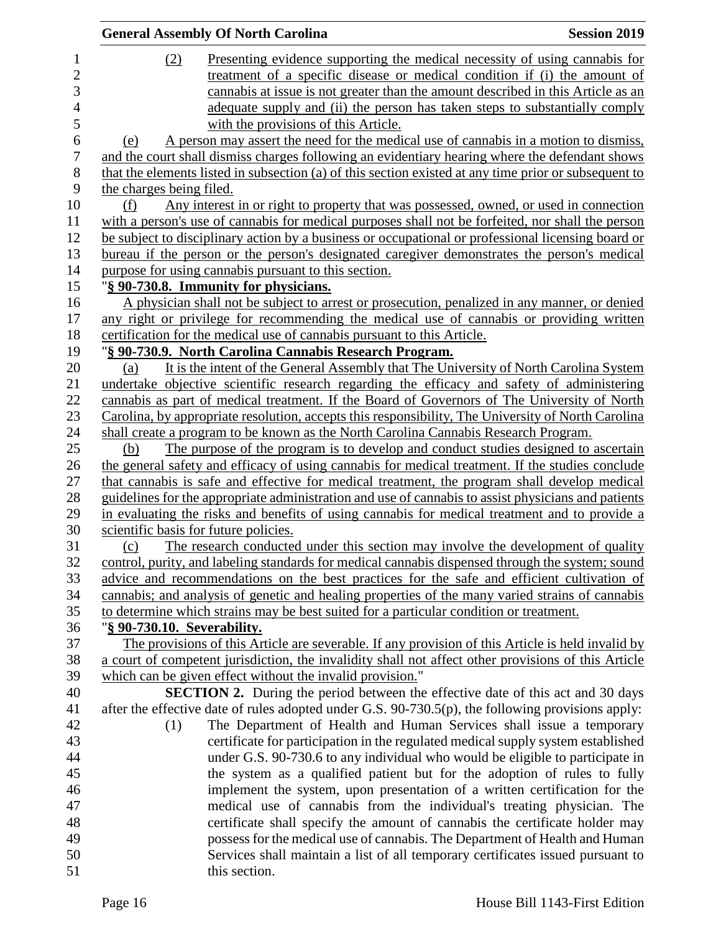|                             | <b>General Assembly Of North Carolina</b>                                                             | <b>Session 2019</b> |
|-----------------------------|-------------------------------------------------------------------------------------------------------|---------------------|
| (2)                         | Presenting evidence supporting the medical necessity of using cannabis for                            |                     |
|                             | treatment of a specific disease or medical condition if (i) the amount of                             |                     |
|                             | cannabis at issue is not greater than the amount described in this Article as an                      |                     |
|                             | adequate supply and (ii) the person has taken steps to substantially comply                           |                     |
|                             | with the provisions of this Article.                                                                  |                     |
| (e)                         | A person may assert the need for the medical use of cannabis in a motion to dismiss,                  |                     |
|                             | and the court shall dismiss charges following an evidentiary hearing where the defendant shows        |                     |
|                             | that the elements listed in subsection (a) of this section existed at any time prior or subsequent to |                     |
| the charges being filed.    |                                                                                                       |                     |
| (f)                         | Any interest in or right to property that was possessed, owned, or used in connection                 |                     |
|                             | with a person's use of cannabis for medical purposes shall not be forfeited, nor shall the person     |                     |
|                             | be subject to disciplinary action by a business or occupational or professional licensing board or    |                     |
|                             | bureau if the person or the person's designated caregiver demonstrates the person's medical           |                     |
|                             | purpose for using cannabis pursuant to this section.                                                  |                     |
|                             | "§ 90-730.8. Immunity for physicians.                                                                 |                     |
|                             | A physician shall not be subject to arrest or prosecution, penalized in any manner, or denied         |                     |
|                             | any right or privilege for recommending the medical use of cannabis or providing written              |                     |
|                             | certification for the medical use of cannabis pursuant to this Article.                               |                     |
|                             | "§ 90-730.9. North Carolina Cannabis Research Program.                                                |                     |
| (a)                         | It is the intent of the General Assembly that The University of North Carolina System                 |                     |
|                             | undertake objective scientific research regarding the efficacy and safety of administering            |                     |
|                             | cannabis as part of medical treatment. If the Board of Governors of The University of North           |                     |
|                             | Carolina, by appropriate resolution, accepts this responsibility, The University of North Carolina    |                     |
|                             | shall create a program to be known as the North Carolina Cannabis Research Program.                   |                     |
| (b)                         | The purpose of the program is to develop and conduct studies designed to ascertain                    |                     |
|                             | the general safety and efficacy of using cannabis for medical treatment. If the studies conclude      |                     |
|                             | that cannabis is safe and effective for medical treatment, the program shall develop medical          |                     |
|                             | guidelines for the appropriate administration and use of cannabis to assist physicians and patients   |                     |
|                             | in evaluating the risks and benefits of using cannabis for medical treatment and to provide a         |                     |
|                             | scientific basis for future policies.                                                                 |                     |
| (c)                         | The research conducted under this section may involve the development of quality                      |                     |
|                             | control, purity, and labeling standards for medical cannabis dispensed through the system; sound      |                     |
|                             | advice and recommendations on the best practices for the safe and efficient cultivation of            |                     |
|                             | cannabis; and analysis of genetic and healing properties of the many varied strains of cannabis       |                     |
|                             | to determine which strains may be best suited for a particular condition or treatment.                |                     |
| "§ 90-730.10. Severability. |                                                                                                       |                     |
|                             | The provisions of this Article are severable. If any provision of this Article is held invalid by     |                     |
|                             | a court of competent jurisdiction, the invalidity shall not affect other provisions of this Article   |                     |
|                             | which can be given effect without the invalid provision."                                             |                     |
|                             | <b>SECTION 2.</b> During the period between the effective date of this act and 30 days                |                     |
|                             | after the effective date of rules adopted under G.S. 90-730.5(p), the following provisions apply:     |                     |
| (1)                         | The Department of Health and Human Services shall issue a temporary                                   |                     |
|                             | certificate for participation in the regulated medical supply system established                      |                     |
|                             | under G.S. 90-730.6 to any individual who would be eligible to participate in                         |                     |
|                             | the system as a qualified patient but for the adoption of rules to fully                              |                     |
|                             | implement the system, upon presentation of a written certification for the                            |                     |
|                             | medical use of cannabis from the individual's treating physician. The                                 |                     |
|                             | certificate shall specify the amount of cannabis the certificate holder may                           |                     |
|                             | possess for the medical use of cannabis. The Department of Health and Human                           |                     |
|                             | Services shall maintain a list of all temporary certificates issued pursuant to                       |                     |
|                             | this section.                                                                                         |                     |
|                             |                                                                                                       |                     |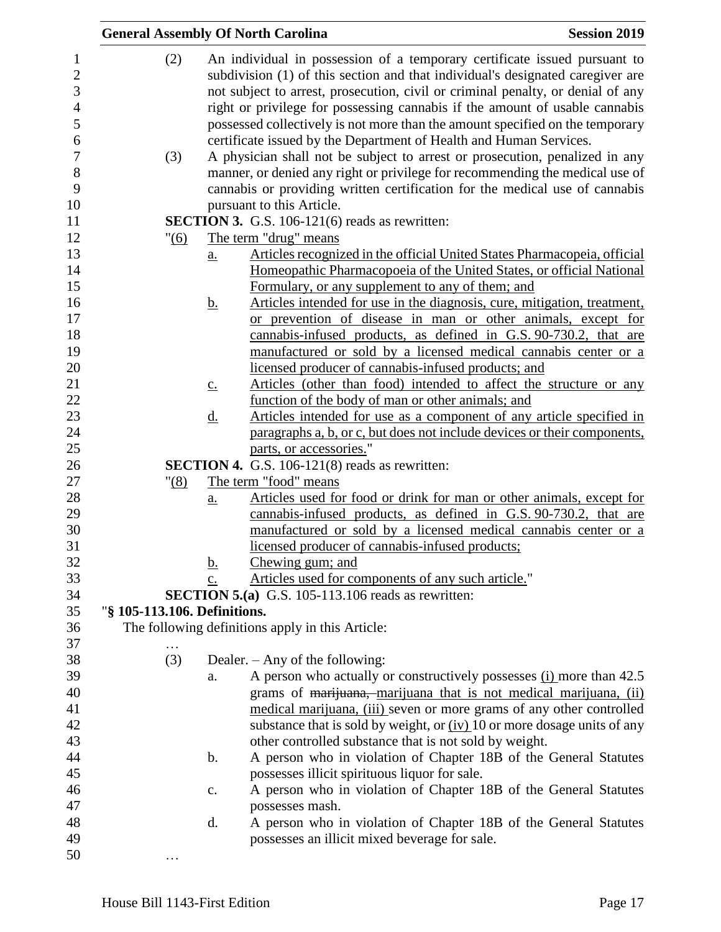| <b>General Assembly Of North Carolina</b> |                   |                                                                                                                                                                                                                                                                                                                                                                                                                | <b>Session 2019</b> |
|-------------------------------------------|-------------------|----------------------------------------------------------------------------------------------------------------------------------------------------------------------------------------------------------------------------------------------------------------------------------------------------------------------------------------------------------------------------------------------------------------|---------------------|
| (2)                                       |                   | An individual in possession of a temporary certificate issued pursuant to<br>subdivision (1) of this section and that individual's designated caregiver are<br>not subject to arrest, prosecution, civil or criminal penalty, or denial of any<br>right or privilege for possessing cannabis if the amount of usable cannabis<br>possessed collectively is not more than the amount specified on the temporary |                     |
|                                           |                   | certificate issued by the Department of Health and Human Services.                                                                                                                                                                                                                                                                                                                                             |                     |
| (3)                                       |                   | A physician shall not be subject to arrest or prosecution, penalized in any<br>manner, or denied any right or privilege for recommending the medical use of                                                                                                                                                                                                                                                    |                     |
|                                           |                   | cannabis or providing written certification for the medical use of cannabis                                                                                                                                                                                                                                                                                                                                    |                     |
|                                           |                   | pursuant to this Article.                                                                                                                                                                                                                                                                                                                                                                                      |                     |
|                                           |                   | <b>SECTION 3.</b> G.S. 106-121(6) reads as rewritten:                                                                                                                                                                                                                                                                                                                                                          |                     |
| " (6)                                     |                   | The term "drug" means                                                                                                                                                                                                                                                                                                                                                                                          |                     |
|                                           | $\underline{a}$ . | Articles recognized in the official United States Pharmacopeia, official<br>Homeopathic Pharmacopoeia of the United States, or official National<br>Formulary, or any supplement to any of them; and                                                                                                                                                                                                           |                     |
|                                           | <u>b.</u>         | Articles intended for use in the diagnosis, cure, mitigation, treatment,                                                                                                                                                                                                                                                                                                                                       |                     |
|                                           |                   | or prevention of disease in man or other animals, except for                                                                                                                                                                                                                                                                                                                                                   |                     |
|                                           |                   | cannabis-infused products, as defined in G.S. 90-730.2, that are                                                                                                                                                                                                                                                                                                                                               |                     |
|                                           |                   | manufactured or sold by a licensed medical cannabis center or a                                                                                                                                                                                                                                                                                                                                                |                     |
|                                           |                   | licensed producer of cannabis-infused products; and                                                                                                                                                                                                                                                                                                                                                            |                     |
|                                           | $\underline{c}$ . | Articles (other than food) intended to affect the structure or any                                                                                                                                                                                                                                                                                                                                             |                     |
|                                           |                   | function of the body of man or other animals; and                                                                                                                                                                                                                                                                                                                                                              |                     |
|                                           | <u>d.</u>         | Articles intended for use as a component of any article specified in                                                                                                                                                                                                                                                                                                                                           |                     |
|                                           |                   | paragraphs a, b, or c, but does not include devices or their components,                                                                                                                                                                                                                                                                                                                                       |                     |
|                                           |                   | parts, or accessories."<br><b>SECTION 4.</b> G.S. 106-121(8) reads as rewritten:                                                                                                                                                                                                                                                                                                                               |                     |
| "(8)                                      |                   | The term "food" means                                                                                                                                                                                                                                                                                                                                                                                          |                     |
|                                           | $a_{\cdot}$       | Articles used for food or drink for man or other animals, except for                                                                                                                                                                                                                                                                                                                                           |                     |
|                                           |                   | cannabis-infused products, as defined in G.S. 90-730.2, that are                                                                                                                                                                                                                                                                                                                                               |                     |
|                                           |                   | manufactured or sold by a licensed medical cannabis center or a                                                                                                                                                                                                                                                                                                                                                |                     |
|                                           |                   | licensed producer of cannabis-infused products;                                                                                                                                                                                                                                                                                                                                                                |                     |
|                                           | <u>b.</u>         | Chewing gum; and                                                                                                                                                                                                                                                                                                                                                                                               |                     |
|                                           | c.                | Articles used for components of any such article."                                                                                                                                                                                                                                                                                                                                                             |                     |
|                                           |                   | <b>SECTION 5.(a)</b> G.S. 105-113.106 reads as rewritten:                                                                                                                                                                                                                                                                                                                                                      |                     |
| "§ 105-113.106. Definitions.              |                   |                                                                                                                                                                                                                                                                                                                                                                                                                |                     |
|                                           |                   | The following definitions apply in this Article:                                                                                                                                                                                                                                                                                                                                                               |                     |
|                                           |                   |                                                                                                                                                                                                                                                                                                                                                                                                                |                     |
| (3)                                       |                   | Dealer. $-$ Any of the following:                                                                                                                                                                                                                                                                                                                                                                              |                     |
|                                           | a.                | A person who actually or constructively possesses (i) more than 42.5                                                                                                                                                                                                                                                                                                                                           |                     |
|                                           |                   | grams of marijuana, marijuana that is not medical marijuana, (ii)                                                                                                                                                                                                                                                                                                                                              |                     |
|                                           |                   | medical marijuana, (iii) seven or more grams of any other controlled                                                                                                                                                                                                                                                                                                                                           |                     |
|                                           |                   | substance that is sold by weight, or $(iv)$ 10 or more dosage units of any                                                                                                                                                                                                                                                                                                                                     |                     |
|                                           | $\mathbf b$ .     | other controlled substance that is not sold by weight.<br>A person who in violation of Chapter 18B of the General Statutes                                                                                                                                                                                                                                                                                     |                     |
|                                           |                   | possesses illicit spirituous liquor for sale.                                                                                                                                                                                                                                                                                                                                                                  |                     |
|                                           | c.                | A person who in violation of Chapter 18B of the General Statutes                                                                                                                                                                                                                                                                                                                                               |                     |
|                                           |                   | possesses mash.                                                                                                                                                                                                                                                                                                                                                                                                |                     |
|                                           | d.                | A person who in violation of Chapter 18B of the General Statutes                                                                                                                                                                                                                                                                                                                                               |                     |
|                                           |                   | possesses an illicit mixed beverage for sale.                                                                                                                                                                                                                                                                                                                                                                  |                     |
|                                           |                   |                                                                                                                                                                                                                                                                                                                                                                                                                |                     |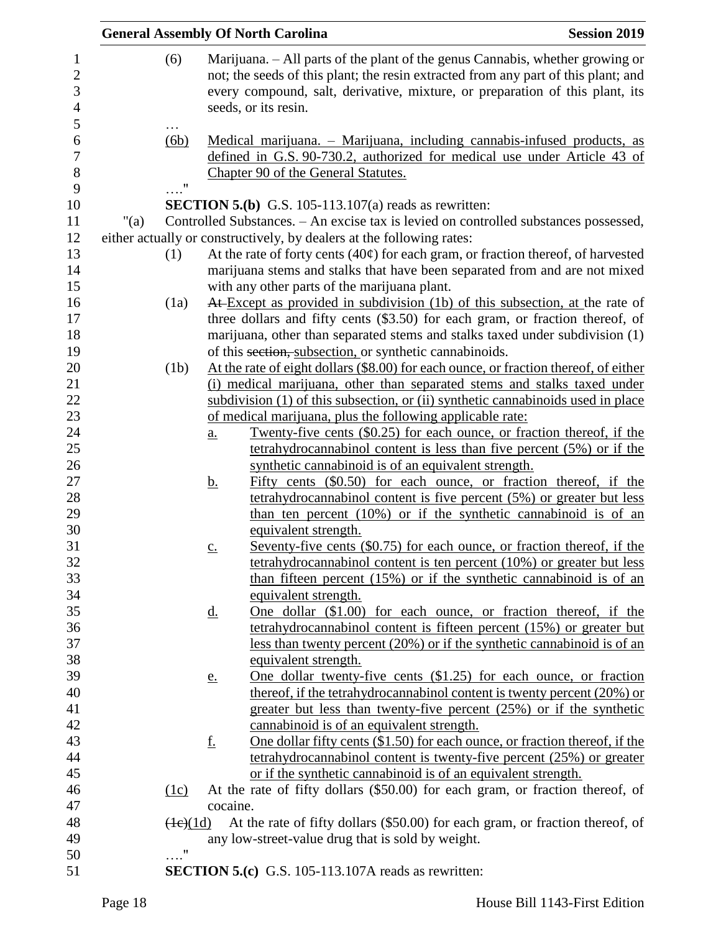|         |                       |                   | <b>General Assembly Of North Carolina</b>                                                                                                                                                                                                                                   | <b>Session 2019</b> |
|---------|-----------------------|-------------------|-----------------------------------------------------------------------------------------------------------------------------------------------------------------------------------------------------------------------------------------------------------------------------|---------------------|
|         | (6)                   |                   | Marijuana. - All parts of the plant of the genus Cannabis, whether growing or<br>not; the seeds of this plant; the resin extracted from any part of this plant; and<br>every compound, salt, derivative, mixture, or preparation of this plant, its<br>seeds, or its resin. |                     |
|         | $\cdots$<br>(6b)      |                   | Medical marijuana. – Marijuana, including cannabis-infused products, as<br>defined in G.S. 90-730.2, authorized for medical use under Article 43 of<br>Chapter 90 of the General Statutes.                                                                                  |                     |
|         |                       |                   |                                                                                                                                                                                                                                                                             |                     |
|         |                       |                   | <b>SECTION 5.(b)</b> G.S. 105-113.107(a) reads as rewritten:                                                                                                                                                                                                                |                     |
| " $(a)$ |                       |                   | Controlled Substances. - An excise tax is levied on controlled substances possessed,                                                                                                                                                                                        |                     |
|         |                       |                   | either actually or constructively, by dealers at the following rates:                                                                                                                                                                                                       |                     |
|         | (1)                   |                   | At the rate of forty cents $(40¢)$ for each gram, or fraction thereof, of harvested                                                                                                                                                                                         |                     |
|         |                       |                   | marijuana stems and stalks that have been separated from and are not mixed                                                                                                                                                                                                  |                     |
|         |                       |                   | with any other parts of the marijuana plant.                                                                                                                                                                                                                                |                     |
|         | (1a)                  |                   | At Except as provided in subdivision (1b) of this subsection, at the rate of                                                                                                                                                                                                |                     |
|         |                       |                   | three dollars and fifty cents (\$3.50) for each gram, or fraction thereof, of                                                                                                                                                                                               |                     |
|         |                       |                   | marijuana, other than separated stems and stalks taxed under subdivision (1)                                                                                                                                                                                                |                     |
|         |                       |                   | of this section, subsection, or synthetic cannabinoids.                                                                                                                                                                                                                     |                     |
|         | (1b)                  |                   | At the rate of eight dollars (\$8.00) for each ounce, or fraction thereof, of either                                                                                                                                                                                        |                     |
|         |                       |                   | (i) medical marijuana, other than separated stems and stalks taxed under                                                                                                                                                                                                    |                     |
|         |                       |                   | subdivision (1) of this subsection, or (ii) synthetic cannabinoids used in place                                                                                                                                                                                            |                     |
|         |                       |                   | of medical marijuana, plus the following applicable rate:                                                                                                                                                                                                                   |                     |
|         |                       | $\underline{a}$ . | <u>Twenty-five cents (\$0.25) for each ounce, or fraction thereof, if the</u>                                                                                                                                                                                               |                     |
|         |                       |                   | tetrahydrocannabinol content is less than five percent (5%) or if the                                                                                                                                                                                                       |                     |
|         |                       |                   | synthetic cannabinoid is of an equivalent strength.                                                                                                                                                                                                                         |                     |
|         |                       | <u>b.</u>         | Fifty cents (\$0.50) for each ounce, or fraction thereof, if the                                                                                                                                                                                                            |                     |
|         |                       |                   | tetrahydrocannabinol content is five percent (5%) or greater but less                                                                                                                                                                                                       |                     |
|         |                       |                   | than ten percent (10%) or if the synthetic cannabinoid is of an                                                                                                                                                                                                             |                     |
|         |                       |                   | equivalent strength.                                                                                                                                                                                                                                                        |                     |
|         |                       | C.                | Seventy-five cents (\$0.75) for each ounce, or fraction thereof, if the                                                                                                                                                                                                     |                     |
|         |                       |                   | tetrahydrocannabinol content is ten percent $(10\%)$ or greater but less                                                                                                                                                                                                    |                     |
|         |                       |                   | than fifteen percent $(15\%)$ or if the synthetic cannabinoid is of an                                                                                                                                                                                                      |                     |
|         |                       |                   | equivalent strength.                                                                                                                                                                                                                                                        |                     |
|         |                       | <u>d.</u>         | One dollar (\$1.00) for each ounce, or fraction thereof, if the                                                                                                                                                                                                             |                     |
|         |                       |                   | tetrahydrocannabinol content is fifteen percent (15%) or greater but                                                                                                                                                                                                        |                     |
|         |                       |                   | less than twenty percent $(20\%)$ or if the synthetic cannabinoid is of an                                                                                                                                                                                                  |                     |
|         |                       |                   | equivalent strength.                                                                                                                                                                                                                                                        |                     |
|         |                       | <u>e.</u>         | <u>One dollar twenty-five cents (\$1.25) for each ounce, or fraction</u>                                                                                                                                                                                                    |                     |
|         |                       |                   | thereof, if the tetrahydrocannabinol content is twenty percent $(20\%)$ or                                                                                                                                                                                                  |                     |
|         |                       |                   | greater but less than twenty-five percent (25%) or if the synthetic                                                                                                                                                                                                         |                     |
|         |                       |                   | cannabinoid is of an equivalent strength.                                                                                                                                                                                                                                   |                     |
|         |                       | <u>f.</u>         | One dollar fifty cents $(\$1.50)$ for each ounce, or fraction thereof, if the                                                                                                                                                                                               |                     |
|         |                       |                   | tetrahydrocannabinol content is twenty-five percent (25%) or greater                                                                                                                                                                                                        |                     |
|         |                       |                   | or if the synthetic cannabinoid is of an equivalent strength.                                                                                                                                                                                                               |                     |
|         | (1c)                  |                   | At the rate of fifty dollars (\$50.00) for each gram, or fraction thereof, of                                                                                                                                                                                               |                     |
|         |                       | cocaine.          |                                                                                                                                                                                                                                                                             |                     |
|         | $\left(4e\right)(1d)$ |                   | At the rate of fifty dollars (\$50.00) for each gram, or fraction thereof, of                                                                                                                                                                                               |                     |
|         |                       |                   | any low-street-value drug that is sold by weight.                                                                                                                                                                                                                           |                     |
|         | $\ldots$ "            |                   |                                                                                                                                                                                                                                                                             |                     |
|         |                       |                   | <b>SECTION 5.(c)</b> G.S. 105-113.107A reads as rewritten:                                                                                                                                                                                                                  |                     |